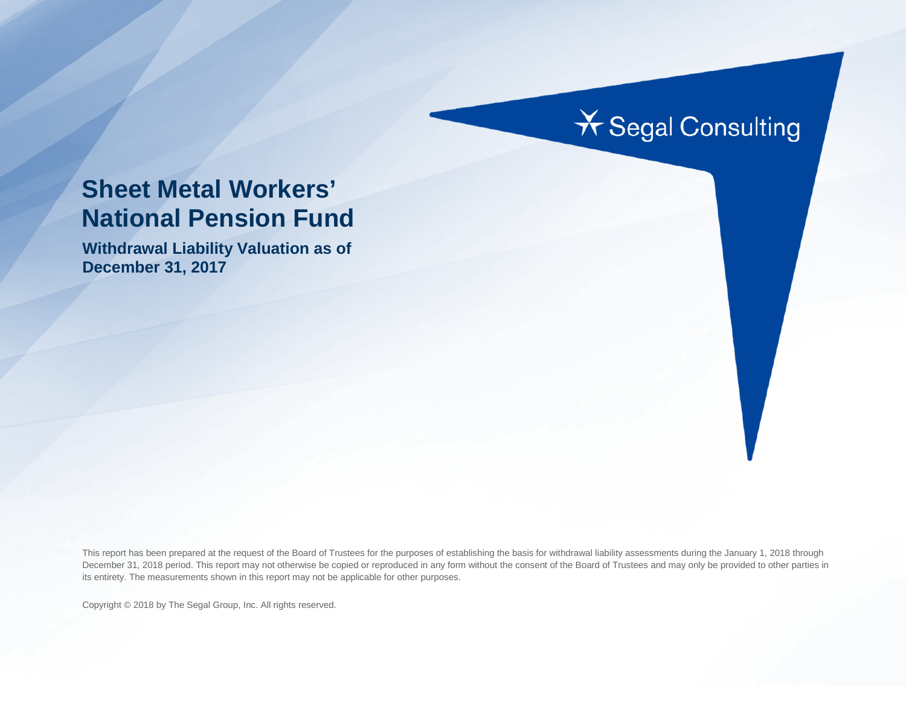# **X** Segal Consulting

# **Sheet Metal Workers' National Pension Fund**

**Withdrawal Liability Valuation as of December 31, 2017**

This report has been prepared at the request of the Board of Trustees for the purposes of establishing the basis for withdrawal liability assessments during the January 1, 2018 through December 31, 2018 period. This report may not otherwise be copied or reproduced in any form without the consent of the Board of Trustees and may only be provided to other parties in its entirety. The measurements shown in this report may not be applicable for other purposes.

Copyright © 2018 by The Segal Group, Inc. All rights reserved.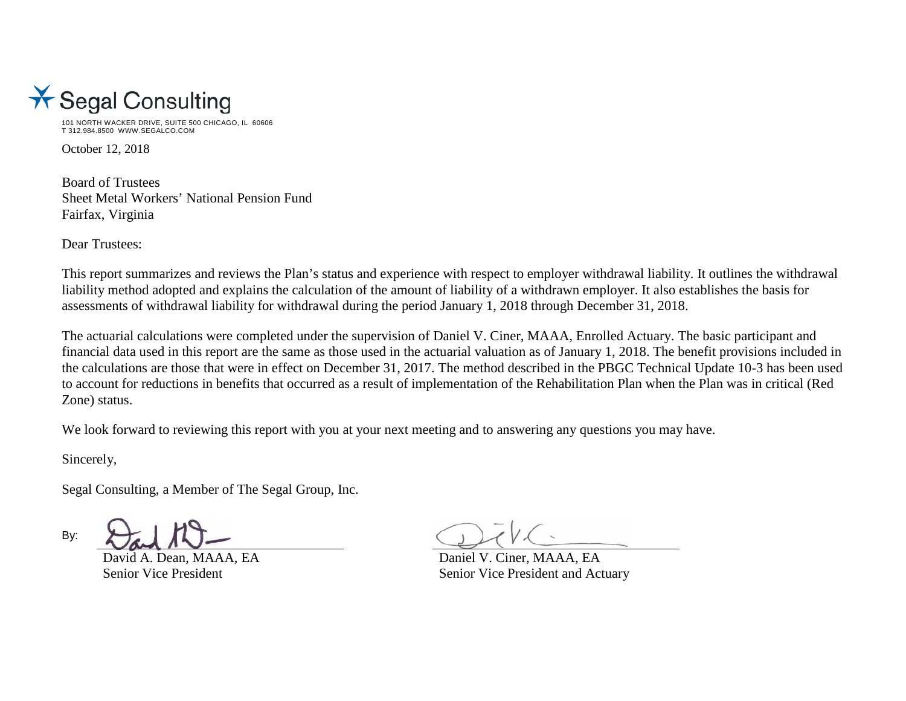

101 NORTH WACKER DRIVE, SUITE 500 CHICAGO, IL 60606 T 312.984.8500 WWW.SEGALCO.COM

October 12, 2018

Board of Trustees Sheet Metal Workers' National Pension Fund Fairfax, Virginia

Dear Trustees:

This report summarizes and reviews the Plan's status and experience with respect to employer withdrawal liability. It outlines the withdrawal liability method adopted and explains the calculation of the amount of liability of a withdrawn employer. It also establishes the basis for assessments of withdrawal liability for withdrawal during the period January 1, 2018 through December 31, 2018.

The actuarial calculations were completed under the supervision of Daniel V. Ciner, MAAA, Enrolled Actuary. The basic participant and financial data used in this report are the same as those used in the actuarial valuation as of January 1, 2018. The benefit provisions included in the calculations are those that were in effect on December 31, 2017. The method described in the PBGC Technical Update 10-3 has been used to account for reductions in benefits that occurred as a result of implementation of the Rehabilitation Plan when the Plan was in critical (Red Zone) status.

We look forward to reviewing this report with you at your next meeting and to answering any questions you may have.

Sincerely,

Segal Consulting, a Member of The Segal Group, Inc.

By:

David A. Dean, MAAA, EA Daniel V. Ciner, MAAA, EA Senior Vice President Senior Vice President and Actuary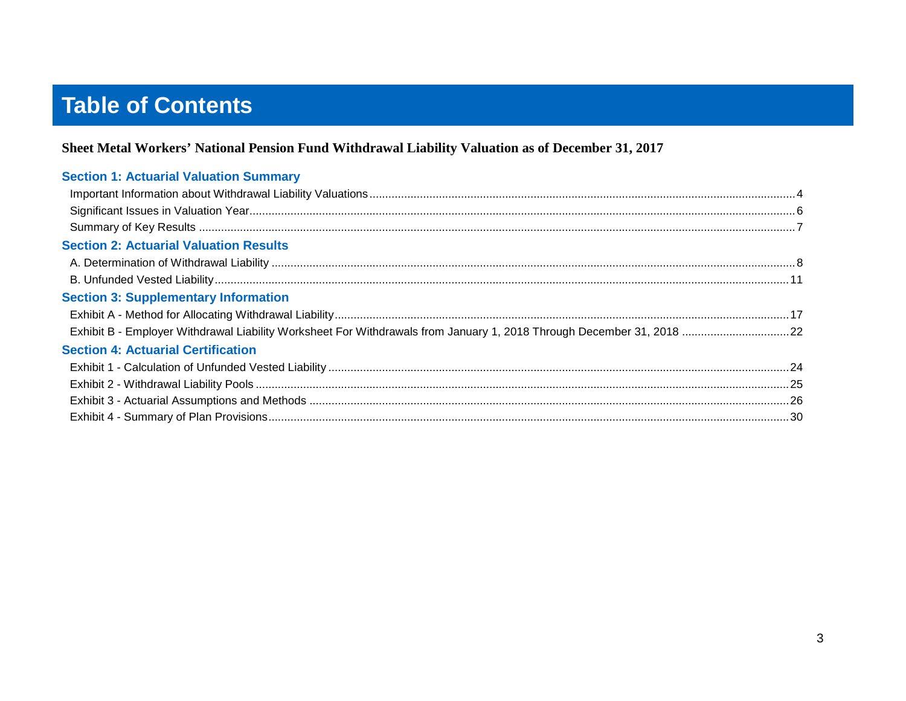# **Table of Contents**

### Sheet Metal Workers' National Pension Fund Withdrawal Liability Valuation as of December 31, 2017

| <b>Section 1: Actuarial Valuation Summary</b> |  |
|-----------------------------------------------|--|
|                                               |  |
|                                               |  |
|                                               |  |
| <b>Section 2: Actuarial Valuation Results</b> |  |
|                                               |  |
|                                               |  |
| <b>Section 3: Supplementary Information</b>   |  |
|                                               |  |
|                                               |  |
| <b>Section 4: Actuarial Certification</b>     |  |
|                                               |  |
|                                               |  |
|                                               |  |
|                                               |  |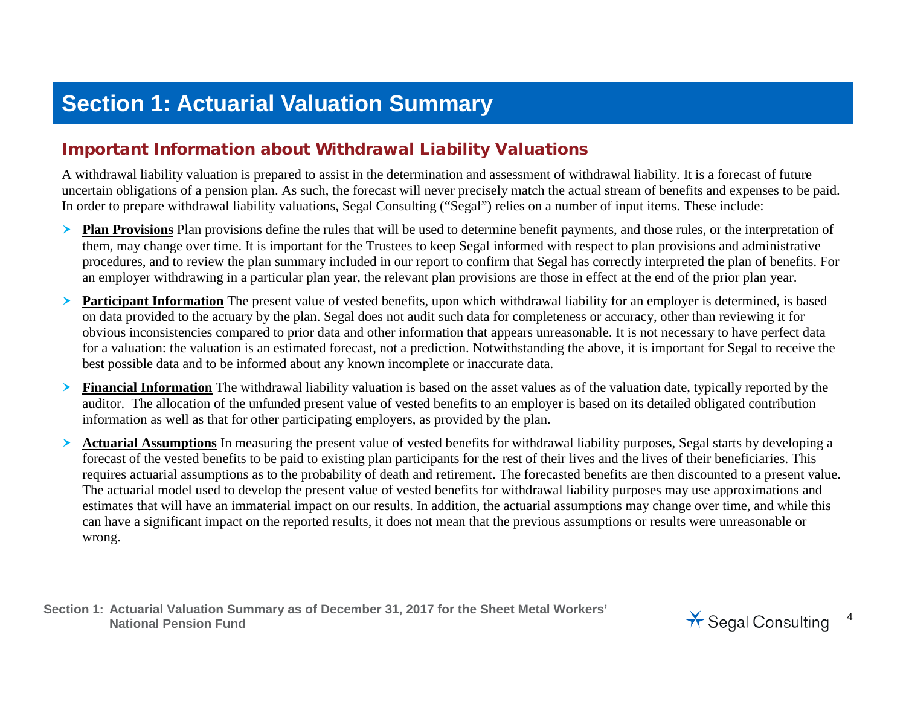## **Section 1: Actuarial Valuation Summary**

## Important Information about Withdrawal Liability Valuations

A withdrawal liability valuation is prepared to assist in the determination and assessment of withdrawal liability. It is a forecast of future uncertain obligations of a pension plan. As such, the forecast will never precisely match the actual stream of benefits and expenses to be paid. In order to prepare withdrawal liability valuations, Segal Consulting ("Segal") relies on a number of input items. These include:

- **Plan Provisions** Plan provisions define the rules that will be used to determine benefit payments, and those rules, or the interpretation of them, may change over time. It is important for the Trustees to keep Segal informed with respect to plan provisions and administrative procedures, and to review the plan summary included in our report to confirm that Segal has correctly interpreted the plan of benefits. For an employer withdrawing in a particular plan year, the relevant plan provisions are those in effect at the end of the prior plan year.
- **Participant Information** The present value of vested benefits, upon which withdrawal liability for an employer is determined, is based on data provided to the actuary by the plan. Segal does not audit such data for completeness or accuracy, other than reviewing it for obvious inconsistencies compared to prior data and other information that appears unreasonable. It is not necessary to have perfect data for a valuation: the valuation is an estimated forecast, not a prediction. Notwithstanding the above, it is important for Segal to receive the best possible data and to be informed about any known incomplete or inaccurate data.
- **Financial Information** The withdrawal liability valuation is based on the asset values as of the valuation date, typically reported by the auditor. The allocation of the unfunded present value of vested benefits to an employer is based on its detailed obligated contribution information as well as that for other participating employers, as provided by the plan.
- **Actuarial Assumptions** In measuring the present value of vested benefits for withdrawal liability purposes, Segal starts by developing a forecast of the vested benefits to be paid to existing plan participants for the rest of their lives and the lives of their beneficiaries. This requires actuarial assumptions as to the probability of death and retirement. The forecasted benefits are then discounted to a present value. The actuarial model used to develop the present value of vested benefits for withdrawal liability purposes may use approximations and estimates that will have an immaterial impact on our results. In addition, the actuarial assumptions may change over time, and while this can have a significant impact on the reported results, it does not mean that the previous assumptions or results were unreasonable or wrong.

**Section 1: Actuarial Valuation Summary as of December 31, 2017 for the Sheet Metal Workers'**  National Pension Fund<br>National Pension Fund<br>National Pension Fund

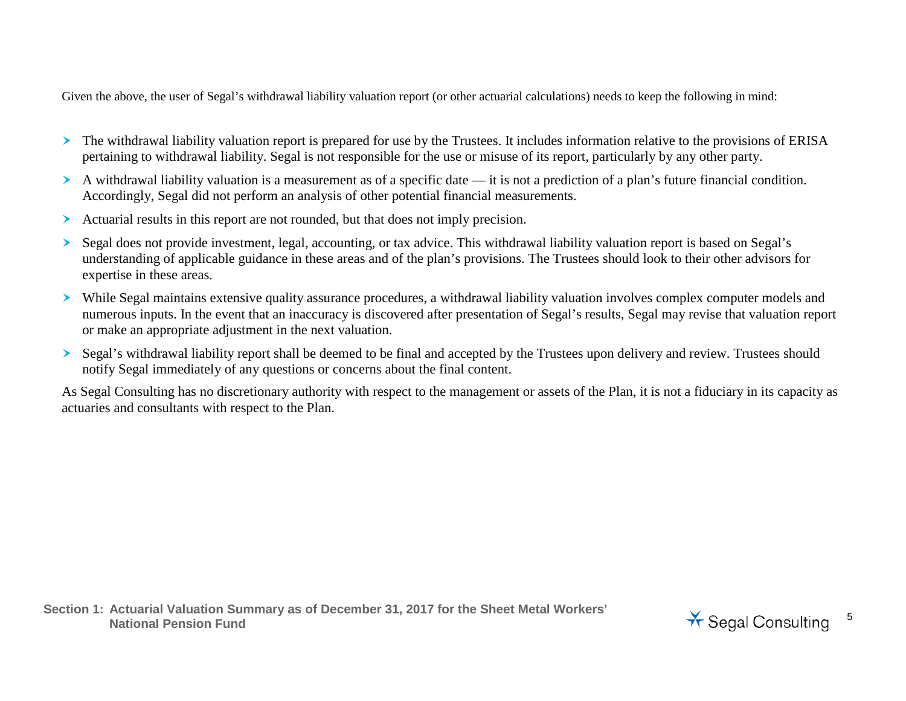Given the above, the user of Segal's withdrawal liability valuation report (or other actuarial calculations) needs to keep the following in mind:

- The withdrawal liability valuation report is prepared for use by the Trustees. It includes information relative to the provisions of ERISA pertaining to withdrawal liability. Segal is not responsible for the use or misuse of its report, particularly by any other party.
- A withdrawal liability valuation is a measurement as of a specific date it is not a prediction of a plan's future financial condition. Accordingly, Segal did not perform an analysis of other potential financial measurements.
- Actuarial results in this report are not rounded, but that does not imply precision.
- Segal does not provide investment, legal, accounting, or tax advice. This withdrawal liability valuation report is based on Segal's understanding of applicable guidance in these areas and of the plan's provisions. The Trustees should look to their other advisors for expertise in these areas.
- While Segal maintains extensive quality assurance procedures, a withdrawal liability valuation involves complex computer models and numerous inputs. In the event that an inaccuracy is discovered after presentation of Segal's results, Segal may revise that valuation report or make an appropriate adjustment in the next valuation.
- Segal's withdrawal liability report shall be deemed to be final and accepted by the Trustees upon delivery and review. Trustees should notify Segal immediately of any questions or concerns about the final content.

As Segal Consulting has no discretionary authority with respect to the management or assets of the Plan, it is not a fiduciary in its capacity as actuaries and consultants with respect to the Plan.

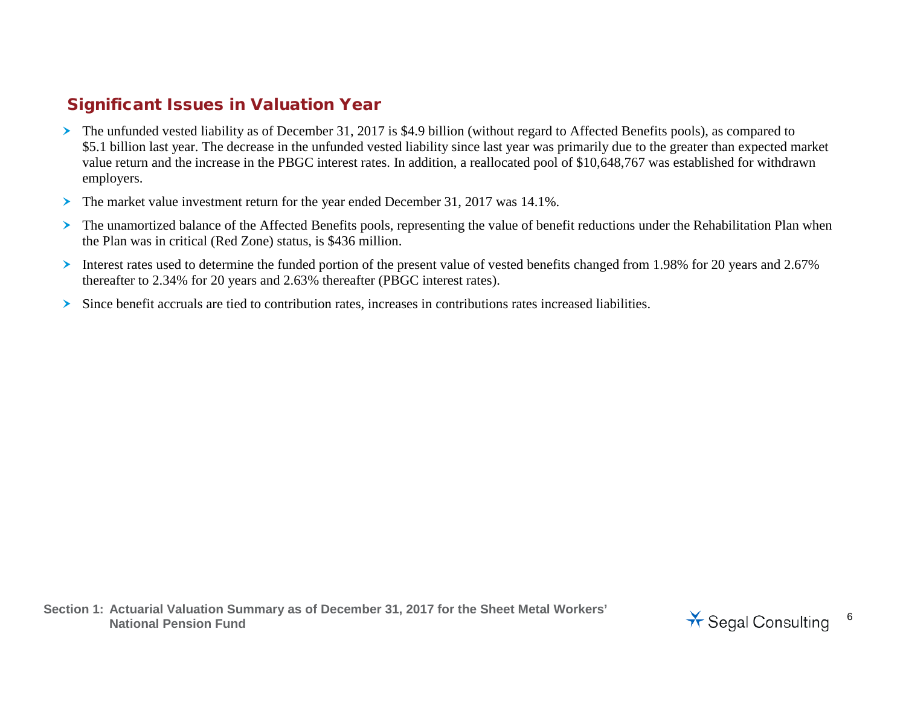## Significant Issues in Valuation Year

- The unfunded vested liability as of December 31, 2017 is \$4.9 billion (without regard to Affected Benefits pools), as compared to \$5.1 billion last year. The decrease in the unfunded vested liability since last year was primarily due to the greater than expected market value return and the increase in the PBGC interest rates. In addition, a reallocated pool of \$10,648,767 was established for withdrawn employers.
- The market value investment return for the year ended December 31, 2017 was 14.1%.
- The unamortized balance of the Affected Benefits pools, representing the value of benefit reductions under the Rehabilitation Plan when the Plan was in critical (Red Zone) status, is \$436 million.
- Interest rates used to determine the funded portion of the present value of vested benefits changed from 1.98% for 20 years and 2.67% thereafter to 2.34% for 20 years and 2.63% thereafter (PBGC interest rates).
- Since benefit accruals are tied to contribution rates, increases in contributions rates increased liabilities.

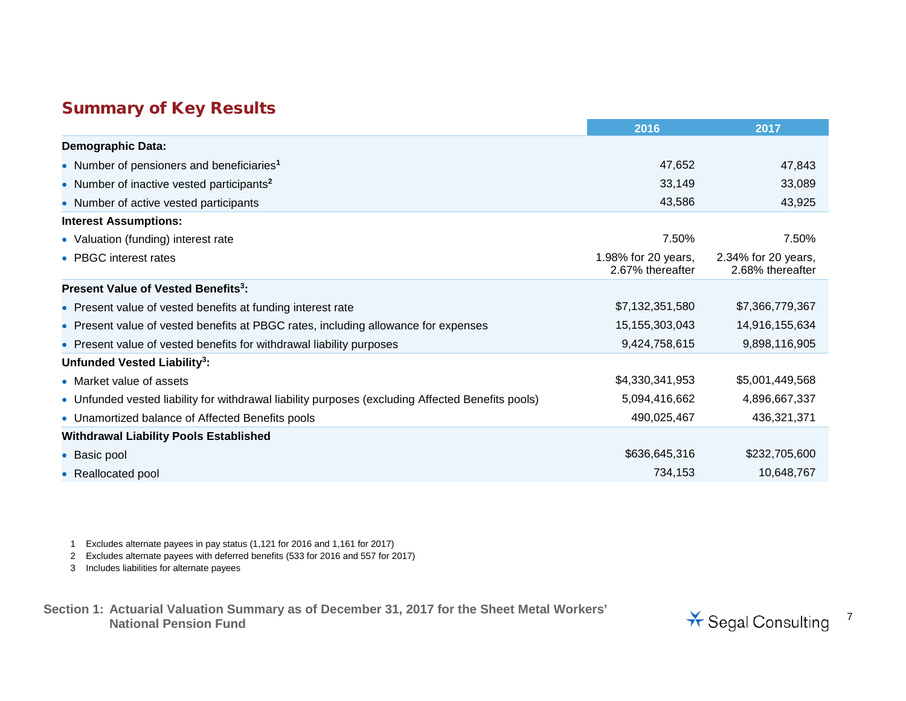## Summary of Key Results

|                                                                                                   | 2016                                    | 2017                                    |
|---------------------------------------------------------------------------------------------------|-----------------------------------------|-----------------------------------------|
| <b>Demographic Data:</b>                                                                          |                                         |                                         |
| • Number of pensioners and beneficiaries <sup>1</sup>                                             | 47,652                                  | 47,843                                  |
| • Number of inactive vested participants <sup>2</sup>                                             | 33,149                                  | 33,089                                  |
| • Number of active vested participants                                                            | 43,586                                  | 43,925                                  |
| <b>Interest Assumptions:</b>                                                                      |                                         |                                         |
| • Valuation (funding) interest rate                                                               | 7.50%                                   | 7.50%                                   |
| • PBGC interest rates                                                                             | 1.98% for 20 years,<br>2.67% thereafter | 2.34% for 20 years,<br>2.68% thereafter |
| Present Value of Vested Benefits <sup>3</sup> :                                                   |                                         |                                         |
| • Present value of vested benefits at funding interest rate                                       | \$7,132,351,580                         | \$7,366,779,367                         |
| • Present value of vested benefits at PBGC rates, including allowance for expenses                | 15, 155, 303, 043                       | 14,916,155,634                          |
| • Present value of vested benefits for withdrawal liability purposes                              | 9,424,758,615                           | 9,898,116,905                           |
| Unfunded Vested Liability <sup>3</sup> :                                                          |                                         |                                         |
| • Market value of assets                                                                          | \$4,330,341,953                         | \$5,001,449,568                         |
| • Unfunded vested liability for withdrawal liability purposes (excluding Affected Benefits pools) | 5,094,416,662                           | 4,896,667,337                           |
| • Unamortized balance of Affected Benefits pools                                                  | 490,025,467                             | 436,321,371                             |
| <b>Withdrawal Liability Pools Established</b>                                                     |                                         |                                         |
| • Basic pool                                                                                      | \$636,645,316                           | \$232,705,600                           |
| • Reallocated pool                                                                                | 734,153                                 | 10,648,767                              |

1 Excludes alternate payees in pay status (1,121 for 2016 and 1,161 for 2017)

2 Excludes alternate payees with deferred benefits (533 for 2016 and 557 for 2017)

3 Includes liabilities for alternate payees

**Section 1: Actuarial Valuation Summary as of December 31, 2017 for the Sheet Metal Workers'** 

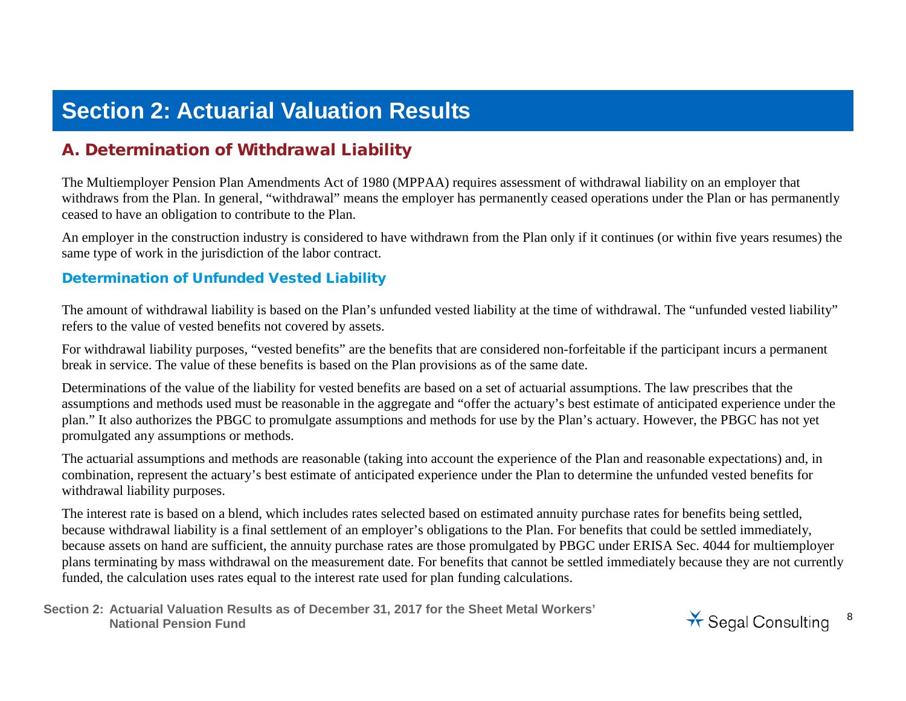# **Section 2: Actuarial Valuation Results**

## A. Determination of Withdrawal Liability

The Multiemployer Pension Plan Amendments Act of 1980 (MPPAA) requires assessment of withdrawal liability on an employer that withdraws from the Plan. In general, "withdrawal" means the employer has permanently ceased operations under the Plan or has permanently ceased to have an obligation to contribute to the Plan.

An employer in the construction industry is considered to have withdrawn from the Plan only if it continues (or within five years resumes) the same type of work in the jurisdiction of the labor contract.

#### Determination of Unfunded Vested Liability

The amount of withdrawal liability is based on the Plan's unfunded vested liability at the time of withdrawal. The "unfunded vested liability" refers to the value of vested benefits not covered by assets.

For withdrawal liability purposes, "vested benefits" are the benefits that are considered non-forfeitable if the participant incurs a permanent break in service. The value of these benefits is based on the Plan provisions as of the same date.

Determinations of the value of the liability for vested benefits are based on a set of actuarial assumptions. The law prescribes that the assumptions and methods used must be reasonable in the aggregate and "offer the actuary's best estimate of anticipated experience under the plan." It also authorizes the PBGC to promulgate assumptions and methods for use by the Plan's actuary. However, the PBGC has not yet promulgated any assumptions or methods.

The actuarial assumptions and methods are reasonable (taking into account the experience of the Plan and reasonable expectations) and, in combination, represent the actuary's best estimate of anticipated experience under the Plan to determine the unfunded vested benefits for withdrawal liability purposes.

The interest rate is based on a blend, which includes rates selected based on estimated annuity purchase rates for benefits being settled, because withdrawal liability is a final settlement of an employer's obligations to the Plan. For benefits that could be settled immediately, because assets on hand are sufficient, the annuity purchase rates are those promulgated by PBGC under ERISA Sec. 4044 for multiemployer plans terminating by mass withdrawal on the measurement date. For benefits that cannot be settled immediately because they are not currently funded, the calculation uses rates equal to the interest rate used for plan funding calculations.

**Section 2: Actuarial Valuation Results as of December 31, 2017 for the Sheet Metal Workers'**  National Pension Fund<br>National Pension Fund

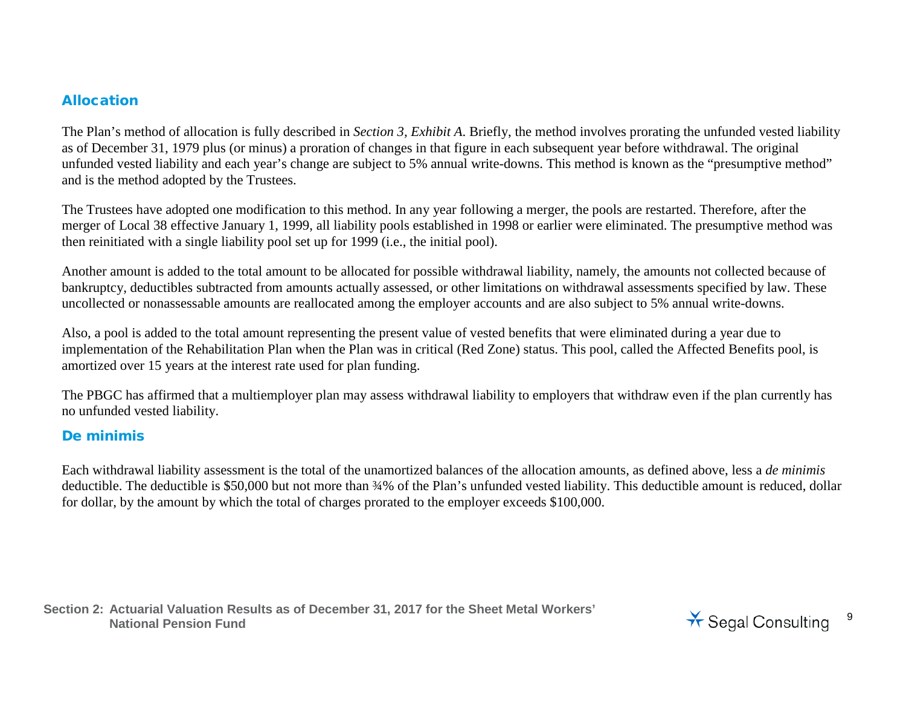#### Allocation

The Plan's method of allocation is fully described in *Section 3, Exhibit A*. Briefly, the method involves prorating the unfunded vested liability as of December 31, 1979 plus (or minus) a proration of changes in that figure in each subsequent year before withdrawal. The original unfunded vested liability and each year's change are subject to 5% annual write-downs. This method is known as the "presumptive method" and is the method adopted by the Trustees.

The Trustees have adopted one modification to this method. In any year following a merger, the pools are restarted. Therefore, after the merger of Local 38 effective January 1, 1999, all liability pools established in 1998 or earlier were eliminated. The presumptive method was then reinitiated with a single liability pool set up for 1999 (i.e., the initial pool).

Another amount is added to the total amount to be allocated for possible withdrawal liability, namely, the amounts not collected because of bankruptcy, deductibles subtracted from amounts actually assessed, or other limitations on withdrawal assessments specified by law. These uncollected or nonassessable amounts are reallocated among the employer accounts and are also subject to 5% annual write-downs.

Also, a pool is added to the total amount representing the present value of vested benefits that were eliminated during a year due to implementation of the Rehabilitation Plan when the Plan was in critical (Red Zone) status. This pool, called the Affected Benefits pool, is amortized over 15 years at the interest rate used for plan funding.

The PBGC has affirmed that a multiemployer plan may assess withdrawal liability to employers that withdraw even if the plan currently has no unfunded vested liability.

### De minimis

Each withdrawal liability assessment is the total of the unamortized balances of the allocation amounts, as defined above, less a *de minimis* deductible. The deductible is \$50,000 but not more than  $\frac{34}{6}$  of the Plan's unfunded vested liability. This deductible amount is reduced, dollar for dollar, by the amount by which the total of charges prorated to the employer exceeds \$100,000.

**Section 2: Actuarial Valuation Results as of December 31, 2017 for the Sheet Metal Workers'**  National Pension Fund<br>National Pension Fund

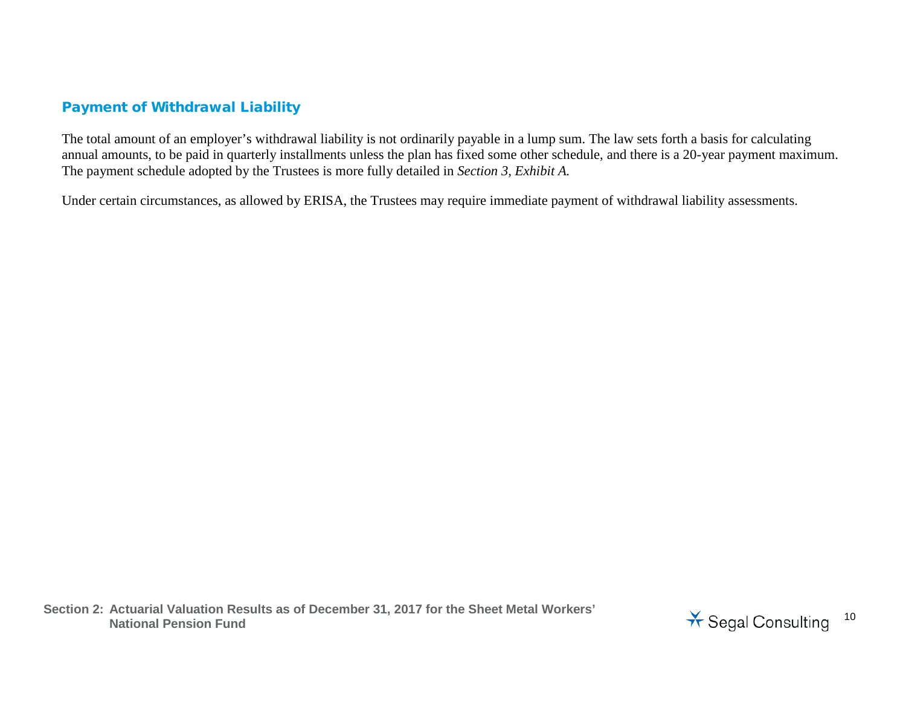## Payment of Withdrawal Liability

The total amount of an employer's withdrawal liability is not ordinarily payable in a lump sum. The law sets forth a basis for calculating annual amounts, to be paid in quarterly installments unless the plan has fixed some other schedule, and there is a 20-year payment maximum. The payment schedule adopted by the Trustees is more fully detailed in *Section 3, Exhibit A.*

Under certain circumstances, as allowed by ERISA, the Trustees may require immediate payment of withdrawal liability assessments.

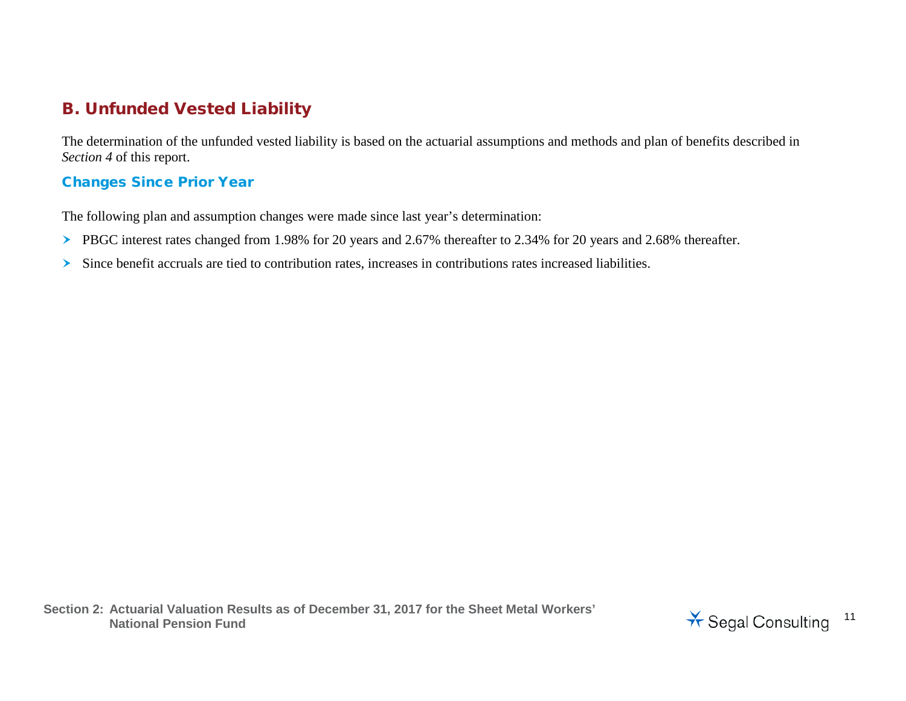## B. Unfunded Vested Liability

The determination of the unfunded vested liability is based on the actuarial assumptions and methods and plan of benefits described in *Section 4* of this report.

## Changes Since Prior Year

The following plan and assumption changes were made since last year's determination:

- PBGC interest rates changed from 1.98% for 20 years and 2.67% thereafter to 2.34% for 20 years and 2.68% thereafter.
- Since benefit accruals are tied to contribution rates, increases in contributions rates increased liabilities.

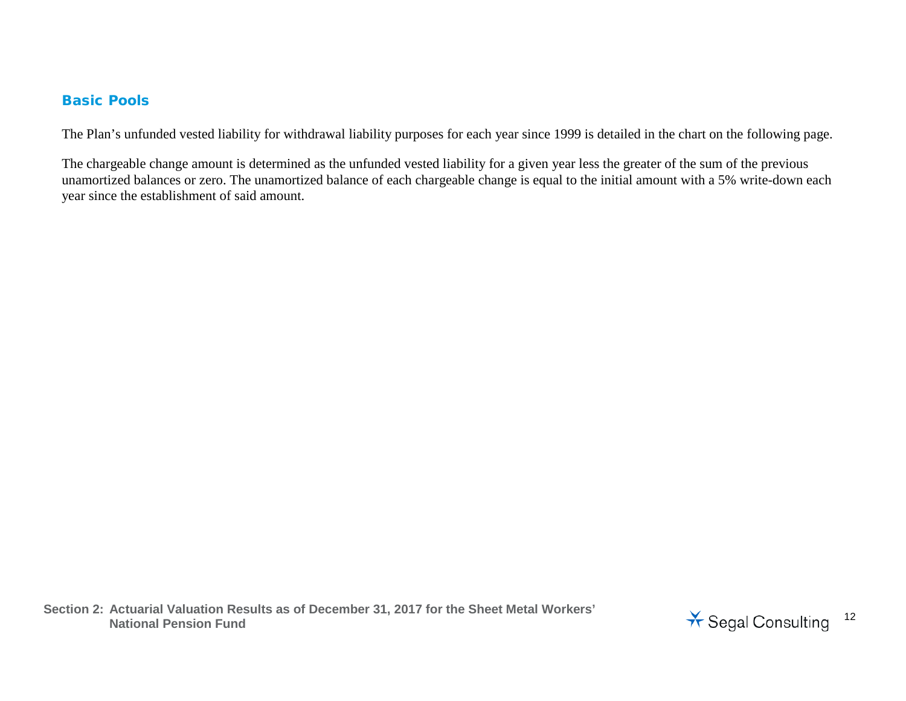#### Basic Pools

The Plan's unfunded vested liability for withdrawal liability purposes for each year since 1999 is detailed in the chart on the following page.

The chargeable change amount is determined as the unfunded vested liability for a given year less the greater of the sum of the previous unamortized balances or zero. The unamortized balance of each chargeable change is equal to the initial amount with a 5% write-down each year since the establishment of said amount.

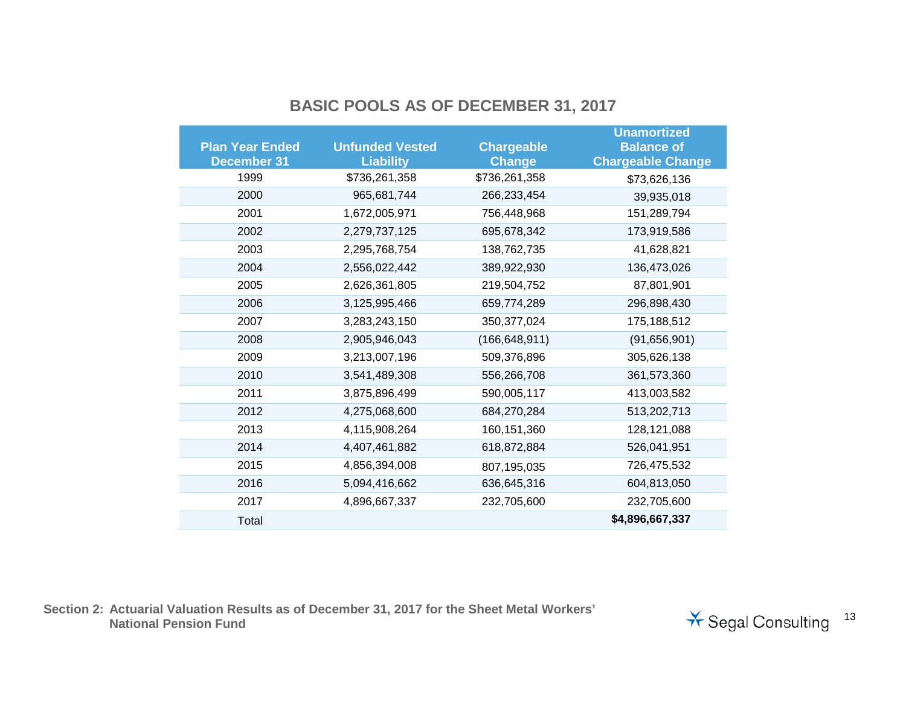## **BASIC POOLS AS OF DECEMBER 31, 2017**

|                        |                        |                   | <b>Unamortized</b>       |
|------------------------|------------------------|-------------------|--------------------------|
| <b>Plan Year Ended</b> | <b>Unfunded Vested</b> | <b>Chargeable</b> | <b>Balance of</b>        |
| <b>December 31</b>     | <b>Liability</b>       | <b>Change</b>     | <b>Chargeable Change</b> |
| 1999                   | \$736,261,358          | \$736,261,358     | \$73,626,136             |
| 2000                   | 965,681,744            | 266,233,454       | 39,935,018               |
| 2001                   | 1,672,005,971          | 756,448,968       | 151,289,794              |
| 2002                   | 2,279,737,125          | 695,678,342       | 173,919,586              |
| 2003                   | 2,295,768,754          | 138,762,735       | 41,628,821               |
| 2004                   | 2,556,022,442          | 389,922,930       | 136,473,026              |
| 2005                   | 2,626,361,805          | 219,504,752       | 87,801,901               |
| 2006                   | 3,125,995,466          | 659,774,289       | 296,898,430              |
| 2007                   | 3,283,243,150          | 350, 377, 024     | 175,188,512              |
| 2008                   | 2,905,946,043          | (166, 648, 911)   | (91,656,901)             |
| 2009                   | 3,213,007,196          | 509,376,896       | 305,626,138              |
| 2010                   | 3,541,489,308          | 556,266,708       | 361,573,360              |
| 2011                   | 3,875,896,499          | 590,005,117       | 413,003,582              |
| 2012                   | 4,275,068,600          | 684,270,284       | 513,202,713              |
| 2013                   | 4,115,908,264          | 160, 151, 360     | 128, 121, 088            |
| 2014                   | 4,407,461,882          | 618,872,884       | 526,041,951              |
| 2015                   | 4,856,394,008          | 807,195,035       | 726,475,532              |
| 2016                   | 5,094,416,662          | 636,645,316       | 604,813,050              |
| 2017                   | 4,896,667,337          | 232,705,600       | 232,705,600              |
| Total                  |                        |                   | \$4,896,667,337          |

**Section 2: Actuarial Valuation Results as of December 31, 2017 for the Sheet Metal Workers'** 

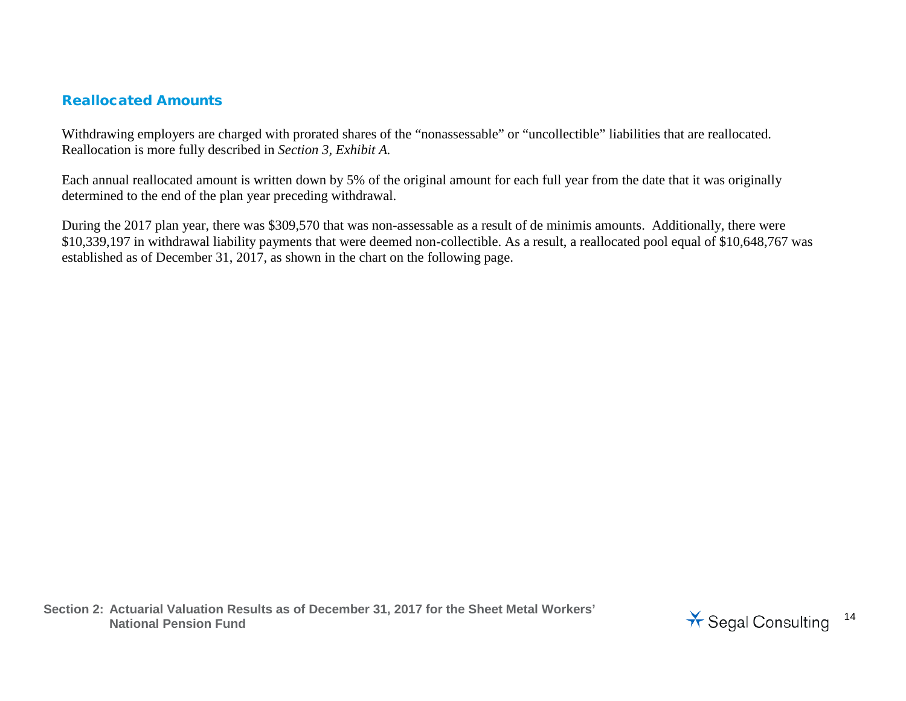### Reallocated Amounts

Withdrawing employers are charged with prorated shares of the "nonassessable" or "uncollectible" liabilities that are reallocated. Reallocation is more fully described in *Section 3, Exhibit A.*

Each annual reallocated amount is written down by 5% of the original amount for each full year from the date that it was originally determined to the end of the plan year preceding withdrawal.

During the 2017 plan year, there was \$309,570 that was non-assessable as a result of de minimis amounts. Additionally, there were \$10,339,197 in withdrawal liability payments that were deemed non-collectible. As a result, a reallocated pool equal of \$10,648,767 was established as of December 31, 2017, as shown in the chart on the following page.

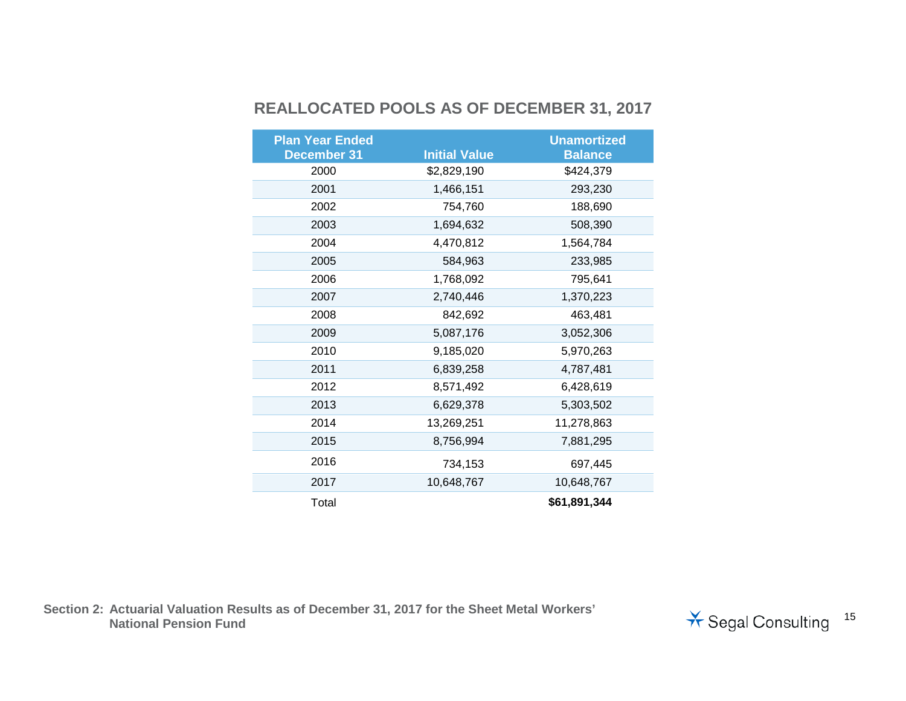## **REALLOCATED POOLS AS OF DECEMBER 31, 2017**

| <b>Plan Year Ended</b>     | <b>Initial Value</b> | <b>Unamortized</b>          |
|----------------------------|----------------------|-----------------------------|
| <b>December 31</b><br>2000 | \$2,829,190          | <b>Balance</b><br>\$424,379 |
|                            |                      |                             |
| 2001                       | 1,466,151            | 293,230                     |
| 2002                       | 754,760              | 188,690                     |
| 2003                       | 1,694,632            | 508,390                     |
| 2004                       | 4,470,812            | 1,564,784                   |
| 2005                       | 584,963              | 233,985                     |
| 2006                       | 1,768,092            | 795,641                     |
| 2007                       | 2,740,446            | 1,370,223                   |
| 2008                       | 842,692              | 463,481                     |
| 2009                       | 5,087,176            | 3,052,306                   |
| 2010                       | 9,185,020            | 5,970,263                   |
| 2011                       | 6,839,258            | 4,787,481                   |
| 2012                       | 8,571,492            | 6,428,619                   |
| 2013                       | 6,629,378            | 5,303,502                   |
| 2014                       | 13,269,251           | 11,278,863                  |
| 2015                       | 8,756,994            | 7,881,295                   |
| 2016                       | 734,153              | 697,445                     |
| 2017                       | 10,648,767           | 10,648,767                  |
| Total                      |                      | \$61,891,344                |

**Section 2: Actuarial Valuation Results as of December 31, 2017 for the Sheet Metal Workers'** 

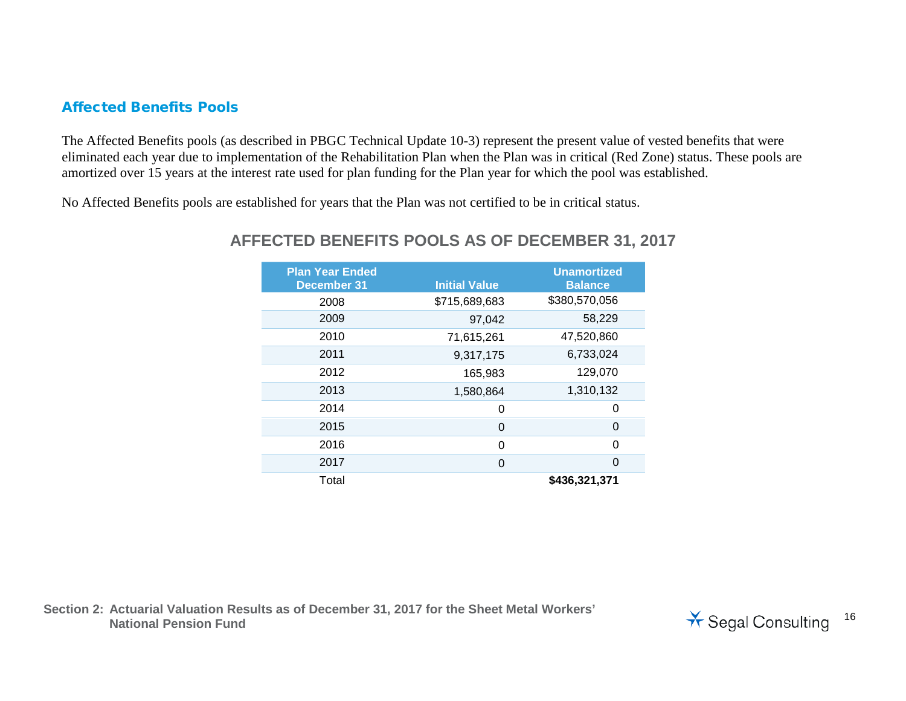### Affected Benefits Pools

The Affected Benefits pools (as described in PBGC Technical Update 10-3) represent the present value of vested benefits that were eliminated each year due to implementation of the Rehabilitation Plan when the Plan was in critical (Red Zone) status. These pools are amortized over 15 years at the interest rate used for plan funding for the Plan year for which the pool was established.

No Affected Benefits pools are established for years that the Plan was not certified to be in critical status.

| <b>Plan Year Ended</b><br><b>December 31</b> | <b>Initial Value</b> | <b>Unamortized</b><br><b>Balance</b> |
|----------------------------------------------|----------------------|--------------------------------------|
| 2008                                         | \$715,689,683        | \$380,570,056                        |
| 2009                                         | 97,042               | 58,229                               |
| 2010                                         | 71,615,261           | 47,520,860                           |
| 2011                                         | 9,317,175            | 6,733,024                            |
| 2012                                         | 165,983              | 129,070                              |
| 2013                                         | 1,580,864            | 1,310,132                            |
| 2014                                         | 0                    | 0                                    |
| 2015                                         | 0                    | 0                                    |
| 2016                                         | 0                    | 0                                    |
| 2017                                         | 0                    | $\Omega$                             |
| Total                                        |                      | \$436,321,371                        |

## **AFFECTED BENEFITS POOLS AS OF DECEMBER 31, 2017**

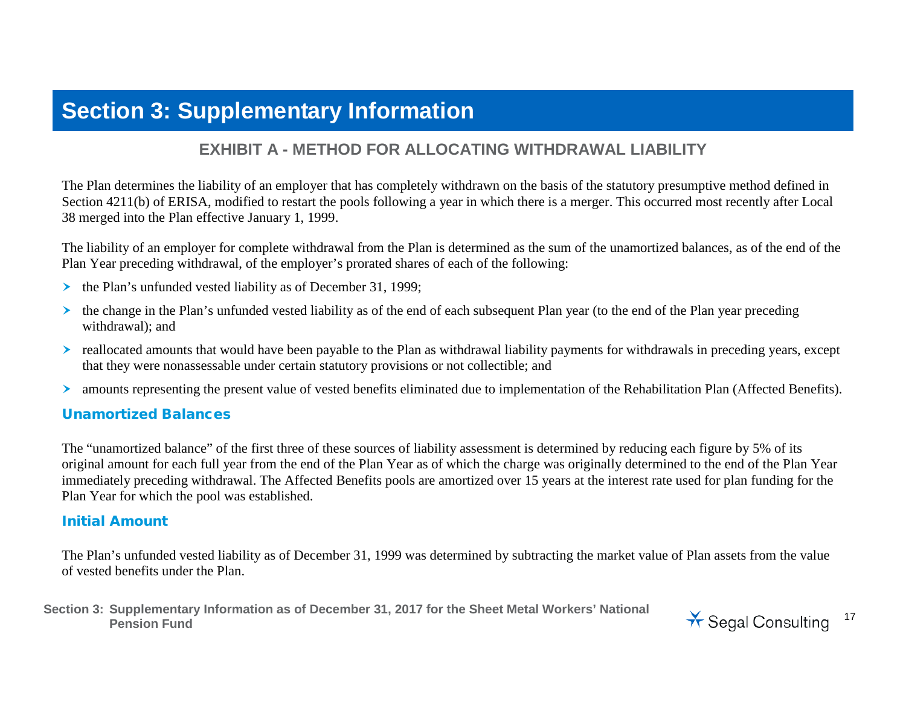## **Section 3: Supplementary Information**

## **EXHIBIT A - METHOD FOR ALLOCATING WITHDRAWAL LIABILITY**

The Plan determines the liability of an employer that has completely withdrawn on the basis of the statutory presumptive method defined in Section 4211(b) of ERISA, modified to restart the pools following a year in which there is a merger. This occurred most recently after Local 38 merged into the Plan effective January 1, 1999.

The liability of an employer for complete withdrawal from the Plan is determined as the sum of the unamortized balances, as of the end of the Plan Year preceding withdrawal, of the employer's prorated shares of each of the following:

- $\triangleright$  the Plan's unfunded vested liability as of December 31, 1999;
- $\triangleright$  the change in the Plan's unfunded vested liability as of the end of each subsequent Plan year (to the end of the Plan year preceding withdrawal); and
- reallocated amounts that would have been payable to the Plan as withdrawal liability payments for withdrawals in preceding years, except that they were nonassessable under certain statutory provisions or not collectible; and
- amounts representing the present value of vested benefits eliminated due to implementation of the Rehabilitation Plan (Affected Benefits).

#### Unamortized Balances

The "unamortized balance" of the first three of these sources of liability assessment is determined by reducing each figure by 5% of its original amount for each full year from the end of the Plan Year as of which the charge was originally determined to the end of the Plan Year immediately preceding withdrawal. The Affected Benefits pools are amortized over 15 years at the interest rate used for plan funding for the Plan Year for which the pool was established.

#### Initial Amount

The Plan's unfunded vested liability as of December 31, 1999 was determined by subtracting the market value of Plan assets from the value of vested benefits under the Plan.

**Section 3: Supplementary Information as of December 31, 2017 for the Sheet Metal Workers' National**  Pension Fund<br>Pension Fund<br>
<sup>17</sup> Segal Consulting

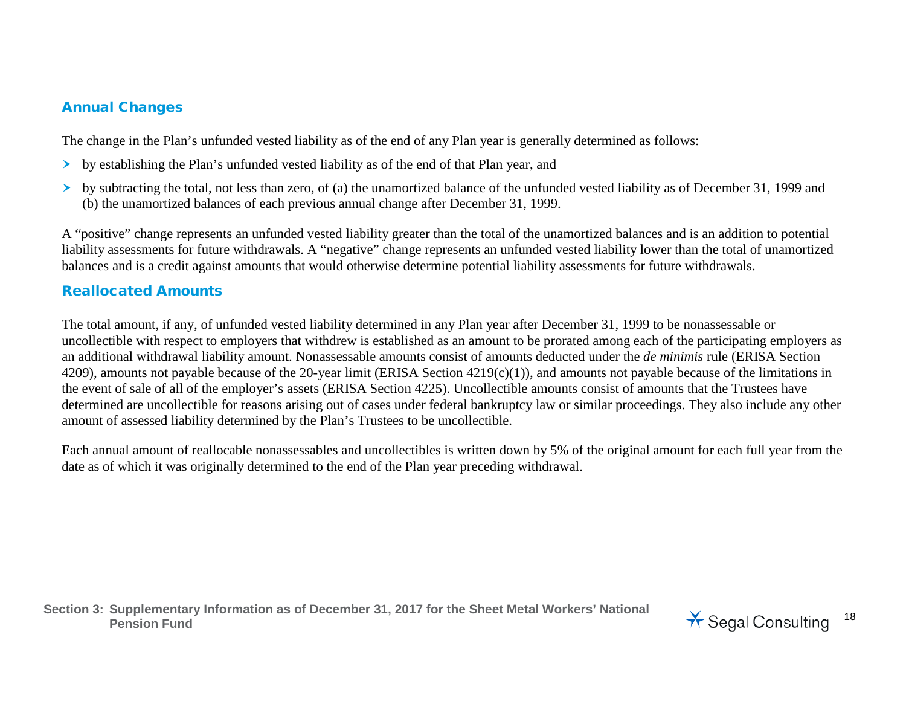## Annual Changes

The change in the Plan's unfunded vested liability as of the end of any Plan year is generally determined as follows:

- by establishing the Plan's unfunded vested liability as of the end of that Plan year, and
- $\triangleright$  by subtracting the total, not less than zero, of (a) the unamortized balance of the unfunded vested liability as of December 31, 1999 and (b) the unamortized balances of each previous annual change after December 31, 1999.

A "positive" change represents an unfunded vested liability greater than the total of the unamortized balances and is an addition to potential liability assessments for future withdrawals. A "negative" change represents an unfunded vested liability lower than the total of unamortized balances and is a credit against amounts that would otherwise determine potential liability assessments for future withdrawals.

## Reallocated Amounts

The total amount, if any, of unfunded vested liability determined in any Plan year after December 31, 1999 to be nonassessable or uncollectible with respect to employers that withdrew is established as an amount to be prorated among each of the participating employers as an additional withdrawal liability amount. Nonassessable amounts consist of amounts deducted under the *de minimis* rule (ERISA Section 4209), amounts not payable because of the 20-year limit (ERISA Section 4219(c)(1)), and amounts not payable because of the limitations in the event of sale of all of the employer's assets (ERISA Section 4225). Uncollectible amounts consist of amounts that the Trustees have determined are uncollectible for reasons arising out of cases under federal bankruptcy law or similar proceedings. They also include any other amount of assessed liability determined by the Plan's Trustees to be uncollectible.

Each annual amount of reallocable nonassessables and uncollectibles is written down by 5% of the original amount for each full year from the date as of which it was originally determined to the end of the Plan year preceding withdrawal.

**Section 3: Supplementary Information as of December 31, 2017 for the Sheet Metal Workers' National**  Pension Fund<br>Pension Fund<br>**Pension Fund** 

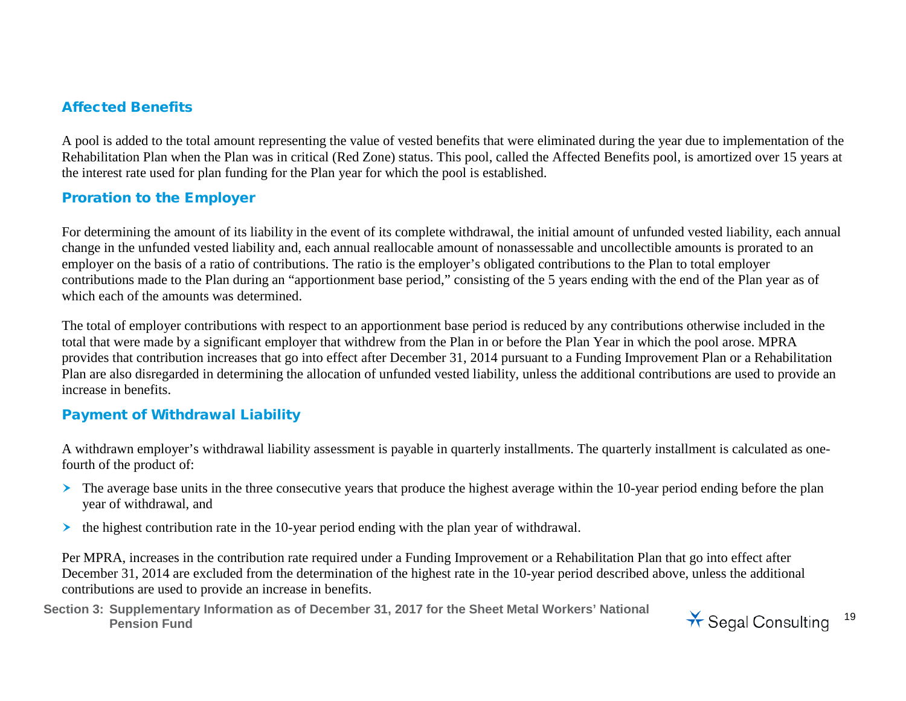### Affected Benefits

A pool is added to the total amount representing the value of vested benefits that were eliminated during the year due to implementation of the Rehabilitation Plan when the Plan was in critical (Red Zone) status. This pool, called the Affected Benefits pool, is amortized over 15 years at the interest rate used for plan funding for the Plan year for which the pool is established.

### Proration to the Employer

For determining the amount of its liability in the event of its complete withdrawal, the initial amount of unfunded vested liability, each annual change in the unfunded vested liability and, each annual reallocable amount of nonassessable and uncollectible amounts is prorated to an employer on the basis of a ratio of contributions. The ratio is the employer's obligated contributions to the Plan to total employer contributions made to the Plan during an "apportionment base period," consisting of the 5 years ending with the end of the Plan year as of which each of the amounts was determined.

The total of employer contributions with respect to an apportionment base period is reduced by any contributions otherwise included in the total that were made by a significant employer that withdrew from the Plan in or before the Plan Year in which the pool arose. MPRA provides that contribution increases that go into effect after December 31, 2014 pursuant to a Funding Improvement Plan or a Rehabilitation Plan are also disregarded in determining the allocation of unfunded vested liability, unless the additional contributions are used to provide an increase in benefits.

### Payment of Withdrawal Liability

A withdrawn employer's withdrawal liability assessment is payable in quarterly installments. The quarterly installment is calculated as onefourth of the product of:

- $\triangleright$  The average base units in the three consecutive years that produce the highest average within the 10-year period ending before the plan year of withdrawal, and
- $\triangleright$  the highest contribution rate in the 10-year period ending with the plan year of withdrawal.

Per MPRA, increases in the contribution rate required under a Funding Improvement or a Rehabilitation Plan that go into effect after December 31, 2014 are excluded from the determination of the highest rate in the 10-year period described above, unless the additional contributions are used to provide an increase in benefits.

**Section 3: Supplementary Information as of December 31, 2017 for the Sheet Metal Workers' National**  Pension Fund<br>Pension Fund<br>**Pension Fund** 

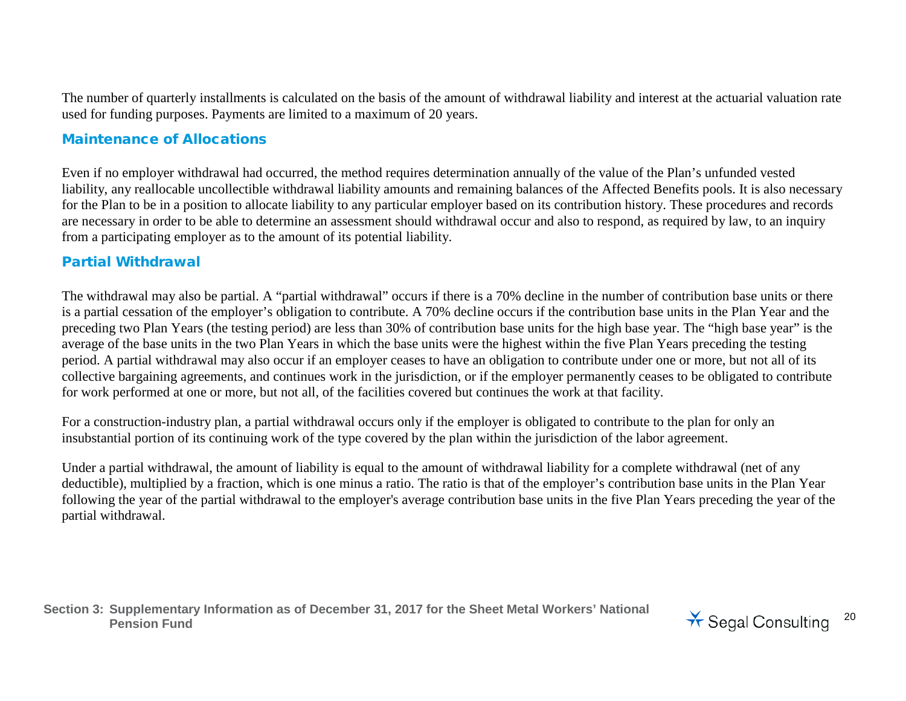The number of quarterly installments is calculated on the basis of the amount of withdrawal liability and interest at the actuarial valuation rate used for funding purposes. Payments are limited to a maximum of 20 years.

#### Maintenance of Allocations

Even if no employer withdrawal had occurred, the method requires determination annually of the value of the Plan's unfunded vested liability, any reallocable uncollectible withdrawal liability amounts and remaining balances of the Affected Benefits pools. It is also necessary for the Plan to be in a position to allocate liability to any particular employer based on its contribution history. These procedures and records are necessary in order to be able to determine an assessment should withdrawal occur and also to respond, as required by law, to an inquiry from a participating employer as to the amount of its potential liability.

### Partial Withdrawal

The withdrawal may also be partial. A "partial withdrawal" occurs if there is a 70% decline in the number of contribution base units or there is a partial cessation of the employer's obligation to contribute. A 70% decline occurs if the contribution base units in the Plan Year and the preceding two Plan Years (the testing period) are less than 30% of contribution base units for the high base year. The "high base year" is the average of the base units in the two Plan Years in which the base units were the highest within the five Plan Years preceding the testing period. A partial withdrawal may also occur if an employer ceases to have an obligation to contribute under one or more, but not all of its collective bargaining agreements, and continues work in the jurisdiction, or if the employer permanently ceases to be obligated to contribute for work performed at one or more, but not all, of the facilities covered but continues the work at that facility.

For a construction-industry plan, a partial withdrawal occurs only if the employer is obligated to contribute to the plan for only an insubstantial portion of its continuing work of the type covered by the plan within the jurisdiction of the labor agreement.

Under a partial withdrawal, the amount of liability is equal to the amount of withdrawal liability for a complete withdrawal (net of any deductible), multiplied by a fraction, which is one minus a ratio. The ratio is that of the employer's contribution base units in the Plan Year following the year of the partial withdrawal to the employer's average contribution base units in the five Plan Years preceding the year of the partial withdrawal.

**Section 3: Supplementary Information as of December 31, 2017 for the Sheet Metal Workers' National**  Pension Fund<br>Pension Fund<br>**Pension Fund** 

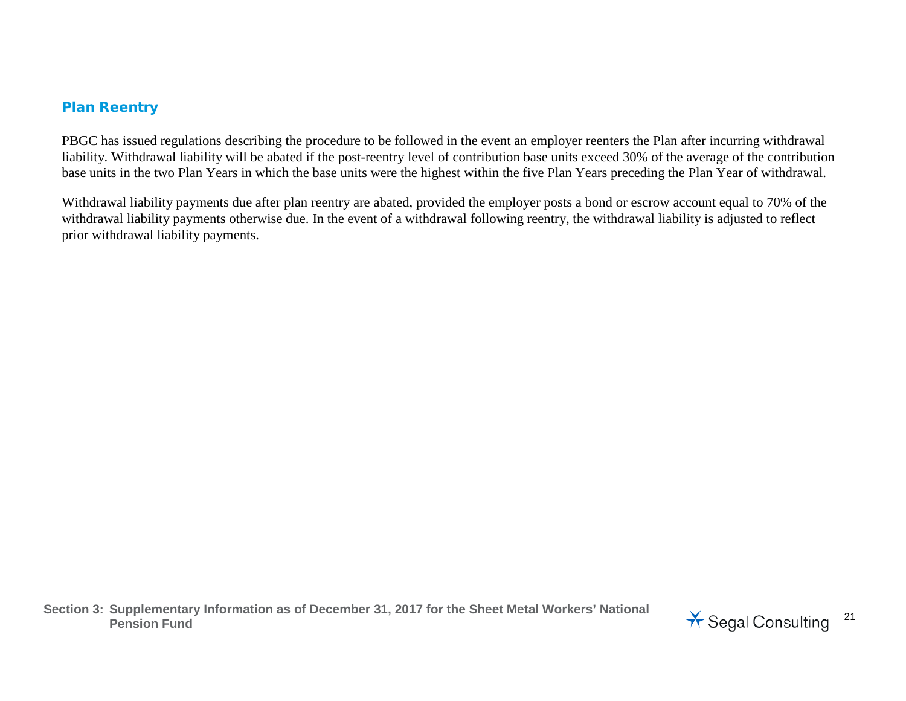#### Plan Reentry

PBGC has issued regulations describing the procedure to be followed in the event an employer reenters the Plan after incurring withdrawal liability. Withdrawal liability will be abated if the post-reentry level of contribution base units exceed 30% of the average of the contribution base units in the two Plan Years in which the base units were the highest within the five Plan Years preceding the Plan Year of withdrawal.

Withdrawal liability payments due after plan reentry are abated, provided the employer posts a bond or escrow account equal to 70% of the withdrawal liability payments otherwise due. In the event of a withdrawal following reentry, the withdrawal liability is adjusted to reflect prior withdrawal liability payments.

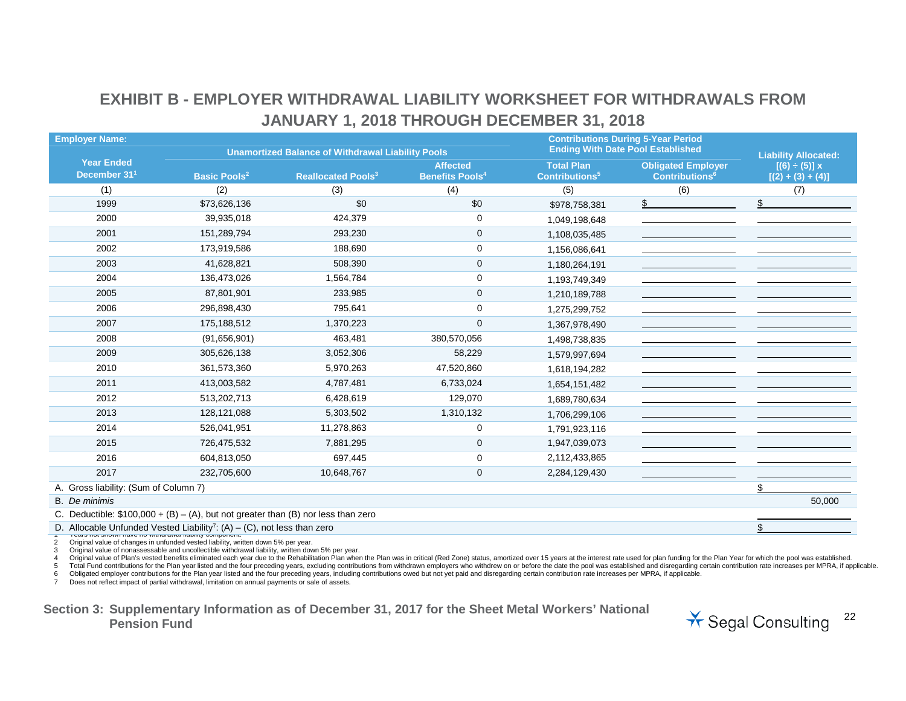## **EXHIBIT B - EMPLOYER WITHDRAWAL LIABILITY WORKSHEET FOR WITHDRAWALS FROM JANUARY 1, 2018 THROUGH DECEMBER 31, 2018**

| <b>Employer Name:</b>                         |                                                                                     |                                                          |                                   | <b>Contributions During 5-Year Period</b> |                                  |                             |  |
|-----------------------------------------------|-------------------------------------------------------------------------------------|----------------------------------------------------------|-----------------------------------|-------------------------------------------|----------------------------------|-----------------------------|--|
|                                               |                                                                                     | <b>Unamortized Balance of Withdrawal Liability Pools</b> |                                   | <b>Ending With Date Pool Established</b>  |                                  | <b>Liability Allocated:</b> |  |
| <b>Year Ended</b><br>December 31 <sup>1</sup> |                                                                                     |                                                          | <b>Affected</b>                   | <b>Total Plan</b>                         | <b>Obligated Employer</b>        | $[(6) \div (5)] x$          |  |
|                                               | <b>Basic Pools<sup>2</sup></b>                                                      | <b>Reallocated Pools<sup>3</sup></b>                     | <b>Benefits Pools<sup>4</sup></b> | Contributions <sup>5</sup>                | <b>Contributions<sup>6</sup></b> | $[(2) + (3) + (4)]$         |  |
| (1)                                           | (2)                                                                                 | (3)                                                      | (4)                               | (5)                                       | (6)                              | (7)                         |  |
| 1999                                          | \$73,626,136                                                                        | \$0                                                      | \$0                               | \$978,758,381                             |                                  |                             |  |
| 2000                                          | 39,935,018                                                                          | 424,379                                                  | 0                                 | 1,049,198,648                             |                                  |                             |  |
| 2001                                          | 151,289,794                                                                         | 293,230                                                  | $\mathbf 0$                       | 1,108,035,485                             |                                  |                             |  |
| 2002                                          | 173,919,586                                                                         | 188,690                                                  | 0                                 | 1,156,086,641                             |                                  |                             |  |
| 2003                                          | 41,628,821                                                                          | 508,390                                                  | $\mathbf 0$                       | 1,180,264,191                             |                                  |                             |  |
| 2004                                          | 136,473,026                                                                         | 1,564,784                                                | 0                                 | 1,193,749,349                             |                                  |                             |  |
| 2005                                          | 87,801,901                                                                          | 233,985                                                  | $\mathbf 0$                       | 1,210,189,788                             |                                  |                             |  |
| 2006                                          | 296,898,430                                                                         | 795,641                                                  | 0                                 | 1,275,299,752                             |                                  |                             |  |
| 2007                                          | 175,188,512                                                                         | 1,370,223                                                | $\mathbf{0}$                      | 1,367,978,490                             |                                  |                             |  |
| 2008                                          | (91, 656, 901)                                                                      | 463,481                                                  | 380,570,056                       | 1,498,738,835                             |                                  |                             |  |
| 2009                                          | 305,626,138                                                                         | 3,052,306                                                | 58,229                            | 1,579,997,694                             |                                  |                             |  |
| 2010                                          | 361,573,360                                                                         | 5,970,263                                                | 47,520,860                        | 1,618,194,282                             |                                  |                             |  |
| 2011                                          | 413,003,582                                                                         | 4,787,481                                                | 6,733,024                         | 1,654,151,482                             |                                  |                             |  |
| 2012                                          | 513,202,713                                                                         | 6,428,619                                                | 129,070                           | 1,689,780,634                             |                                  |                             |  |
| 2013                                          | 128,121,088                                                                         | 5,303,502                                                | 1,310,132                         | 1,706,299,106                             |                                  |                             |  |
| 2014                                          | 526,041,951                                                                         | 11,278,863                                               | $\mathbf 0$                       | 1,791,923,116                             |                                  |                             |  |
| 2015                                          | 726,475,532                                                                         | 7,881,295                                                | $\mathbf 0$                       | 1,947,039,073                             |                                  |                             |  |
| 2016                                          | 604,813,050                                                                         | 697,445                                                  | 0                                 | 2,112,433,865                             |                                  |                             |  |
| 2017                                          | 232,705,600                                                                         | 10,648,767                                               | $\mathbf{0}$                      | 2,284,129,430                             |                                  |                             |  |
| A. Gross liability: (Sum of Column 7)         |                                                                                     |                                                          |                                   |                                           |                                  |                             |  |
| <b>B.</b> De minimis                          |                                                                                     |                                                          |                                   |                                           |                                  | 50,000                      |  |
|                                               | C. Deductible: $$100,000 + (B) - (A)$ , but not greater than (B) nor less than zero |                                                          |                                   |                                           |                                  |                             |  |
|                                               | D. Allocable Unfunded Vested Liability <sup>7</sup> : (A) – (C), not less than zero |                                                          |                                   |                                           |                                  |                             |  |

2 Original value of changes in unfunded vested liability, written down 5% per year. Original value of nonassessable and uncollectible withdrawal liability, written down 5% per year.

4 Original value of Plan's vested benefits eliminated each year due to the Rehabilitation Plan when the Plan was in critical (Red Zone) status, amortized over 15 years at the interest rate used for plan funding for the Pla

5 Total Fund contributions for the Plan year listed and the four preceding years, excluding contributions from withdrawn employers who withdrew on or before the date the pool was established and disregarding certain contri

6 Obligated employer contributions for the Plan year listed and the four preceding years, including contributions owed but not yet paid and disregarding certain contribution rate increases per MPRA, if applicable.<br>7 Does n

Does not reflect impact of partial withdrawal, limitation on annual payments or sale of assets.

**Section 3: Supplementary Information as of December 31, 2017 for the Sheet Metal Workers' National**  Pension Fund<br>Pension Fund<br>**Pension Fund** 

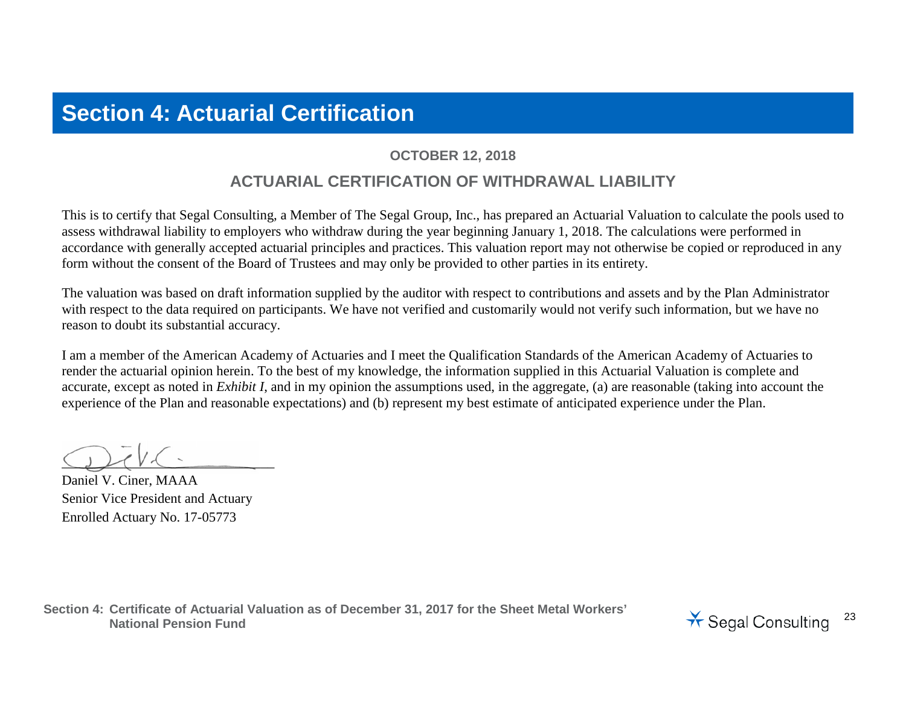# **Section 4: Actuarial Certification**

## **OCTOBER 12, 2018**

## **ACTUARIAL CERTIFICATION OF WITHDRAWAL LIABILITY**

This is to certify that Segal Consulting, a Member of The Segal Group, Inc., has prepared an Actuarial Valuation to calculate the pools used to assess withdrawal liability to employers who withdraw during the year beginning January 1, 2018. The calculations were performed in accordance with generally accepted actuarial principles and practices. This valuation report may not otherwise be copied or reproduced in any form without the consent of the Board of Trustees and may only be provided to other parties in its entirety.

The valuation was based on draft information supplied by the auditor with respect to contributions and assets and by the Plan Administrator with respect to the data required on participants. We have not verified and customarily would not verify such information, but we have no reason to doubt its substantial accuracy.

I am a member of the American Academy of Actuaries and I meet the Qualification Standards of the American Academy of Actuaries to render the actuarial opinion herein. To the best of my knowledge, the information supplied in this Actuarial Valuation is complete and accurate, except as noted in *Exhibit I*, and in my opinion the assumptions used, in the aggregate, (a) are reasonable (taking into account the experience of the Plan and reasonable expectations) and (b) represent my best estimate of anticipated experience under the Plan.

 $Q$ 

Daniel V. Ciner, MAAA Senior Vice President and Actuary Enrolled Actuary No. 17-05773

**Section 4: Certificate of Actuarial Valuation as of December 31, 2017 for the Sheet Metal Workers' National Pension Fund**<br>National Pension Fund<br>National Pension Fund

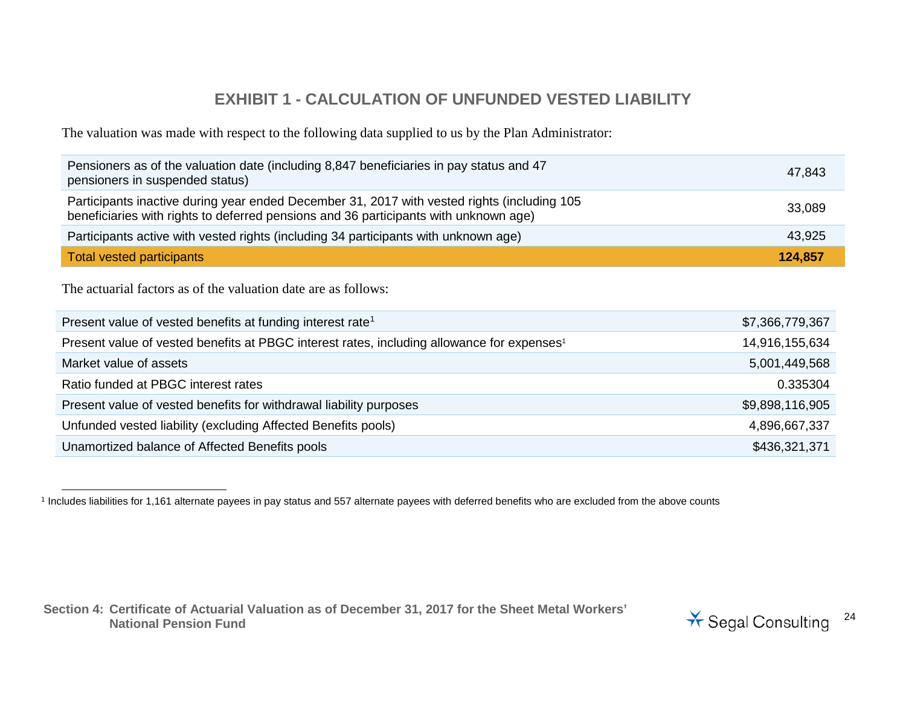## <span id="page-23-0"></span>**EXHIBIT 1 - CALCULATION OF UNFUNDED VESTED LIABILITY**

The valuation was made with respect to the following data supplied to us by the Plan Administrator:

| Pensioners as of the valuation date (including 8,847 beneficiaries in pay status and 47<br>pensioners in suspended status)                                                          | 47,843  |
|-------------------------------------------------------------------------------------------------------------------------------------------------------------------------------------|---------|
| Participants inactive during year ended December 31, 2017 with vested rights (including 105<br>beneficiaries with rights to deferred pensions and 36 participants with unknown age) | 33,089  |
| Participants active with vested rights (including 34 participants with unknown age)                                                                                                 | 43,925  |
| Total vested participants                                                                                                                                                           | 124,857 |

The actuarial factors as of the valuation date are as follows:

| Present value of vested benefits at funding interest rate <sup>1</sup>                                 | \$7,366,779,367 |
|--------------------------------------------------------------------------------------------------------|-----------------|
| Present value of vested benefits at PBGC interest rates, including allowance for expenses <sup>1</sup> | 14,916,155,634  |
| Market value of assets                                                                                 | 5,001,449,568   |
| Ratio funded at PBGC interest rates                                                                    | 0.335304        |
| Present value of vested benefits for withdrawal liability purposes                                     | \$9,898,116,905 |
| Unfunded vested liability (excluding Affected Benefits pools)                                          | 4,896,667,337   |
| Unamortized balance of Affected Benefits pools                                                         | \$436,321,371   |

<sup>1</sup> Includes liabilities for 1,161 alternate payees in pay status and 557 alternate payees with deferred benefits who are excluded from the above counts

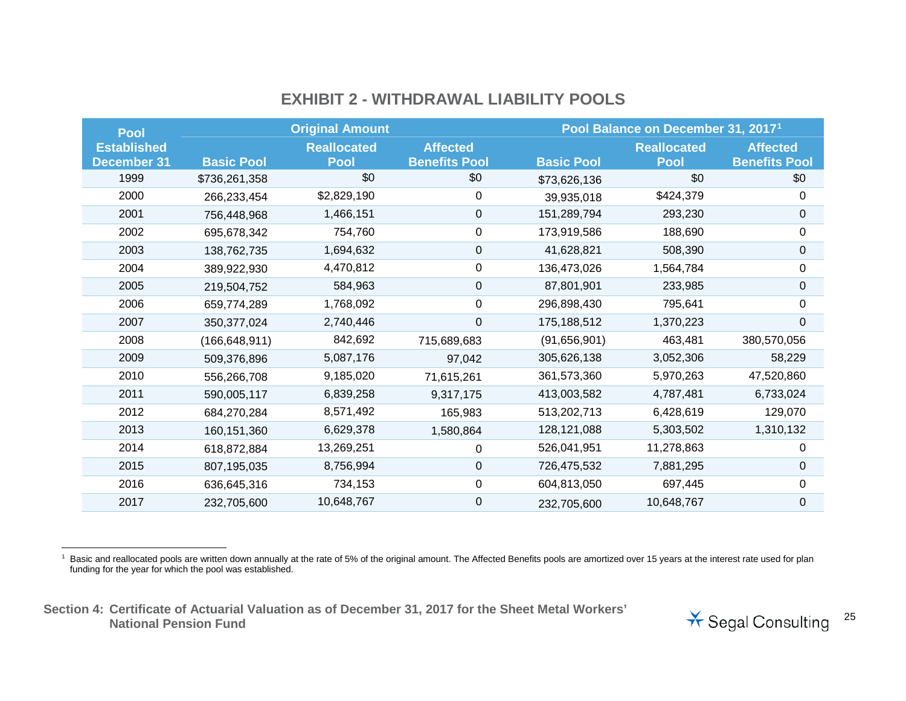## <span id="page-24-0"></span>**EXHIBIT 2 - WITHDRAWAL LIABILITY POOLS**

| <b>Pool</b>        |                   | <b>Original Amount</b> |                      |                   | Pool Balance on December 31, 2017 <sup>1</sup> |                      |
|--------------------|-------------------|------------------------|----------------------|-------------------|------------------------------------------------|----------------------|
| <b>Established</b> |                   | <b>Reallocated</b>     | <b>Affected</b>      |                   | <b>Reallocated</b>                             | <b>Affected</b>      |
| <b>December 31</b> | <b>Basic Pool</b> | <b>Pool</b>            | <b>Benefits Pool</b> | <b>Basic Pool</b> | <b>Pool</b>                                    | <b>Benefits Pool</b> |
| 1999               | \$736,261,358     | \$0                    | \$0                  | \$73,626,136      | \$0                                            | \$0                  |
| 2000               | 266,233,454       | \$2,829,190            | 0                    | 39,935,018        | \$424,379                                      | 0                    |
| 2001               | 756,448,968       | 1,466,151              | 0                    | 151,289,794       | 293,230                                        | 0                    |
| 2002               | 695,678,342       | 754,760                | 0                    | 173,919,586       | 188,690                                        | 0                    |
| 2003               | 138,762,735       | 1,694,632              | 0                    | 41,628,821        | 508,390                                        | $\pmb{0}$            |
| 2004               | 389,922,930       | 4,470,812              | 0                    | 136,473,026       | 1,564,784                                      | 0                    |
| 2005               | 219,504,752       | 584,963                | 0                    | 87,801,901        | 233,985                                        | $\pmb{0}$            |
| 2006               | 659,774,289       | 1,768,092              | 0                    | 296,898,430       | 795,641                                        | 0                    |
| 2007               | 350, 377, 024     | 2,740,446              | 0                    | 175,188,512       | 1,370,223                                      | 0                    |
| 2008               | (166, 648, 911)   | 842,692                | 715,689,683          | (91,656,901)      | 463,481                                        | 380,570,056          |
| 2009               | 509,376,896       | 5,087,176              | 97,042               | 305,626,138       | 3,052,306                                      | 58,229               |
| 2010               | 556,266,708       | 9,185,020              | 71,615,261           | 361,573,360       | 5,970,263                                      | 47,520,860           |
| 2011               | 590,005,117       | 6,839,258              | 9,317,175            | 413,003,582       | 4,787,481                                      | 6,733,024            |
| 2012               | 684,270,284       | 8,571,492              | 165,983              | 513,202,713       | 6,428,619                                      | 129,070              |
| 2013               | 160,151,360       | 6,629,378              | 1,580,864            | 128, 121, 088     | 5,303,502                                      | 1,310,132            |
| 2014               | 618,872,884       | 13,269,251             | 0                    | 526,041,951       | 11,278,863                                     | 0                    |
| 2015               | 807,195,035       | 8,756,994              | 0                    | 726,475,532       | 7,881,295                                      | 0                    |
| 2016               | 636,645,316       | 734,153                | 0                    | 604,813,050       | 697,445                                        | 0                    |
| 2017               | 232,705,600       | 10,648,767             | 0                    | 232,705,600       | 10,648,767                                     | 0                    |

1 Basic and reallocated pools are written down annually at the rate of 5% of the original amount. The Affected Benefits pools are amortized over 15 years at the interest rate used for plan funding for the year for which the pool was established.

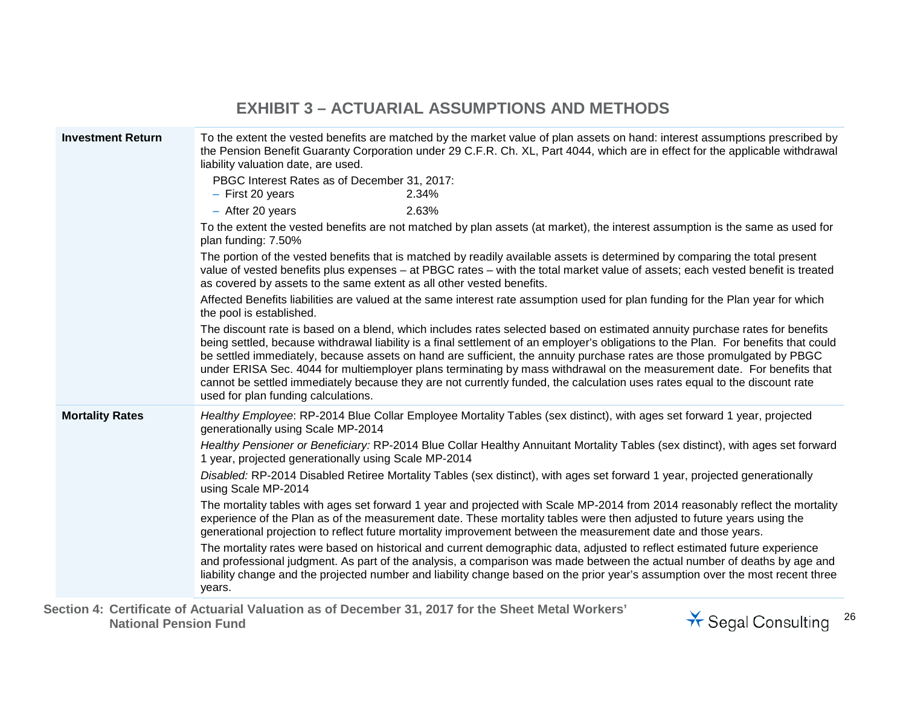## **EXHIBIT 3 – ACTUARIAL ASSUMPTIONS AND METHODS**

| <b>Investment Return</b> | To the extent the vested benefits are matched by the market value of plan assets on hand: interest assumptions prescribed by<br>the Pension Benefit Guaranty Corporation under 29 C.F.R. Ch. XL, Part 4044, which are in effect for the applicable withdrawal<br>liability valuation date, are used.                                                                                                                                                                                                                                                                                                                                                                                          |
|--------------------------|-----------------------------------------------------------------------------------------------------------------------------------------------------------------------------------------------------------------------------------------------------------------------------------------------------------------------------------------------------------------------------------------------------------------------------------------------------------------------------------------------------------------------------------------------------------------------------------------------------------------------------------------------------------------------------------------------|
|                          | PBGC Interest Rates as of December 31, 2017:<br>$-$ First 20 years<br>2.34%                                                                                                                                                                                                                                                                                                                                                                                                                                                                                                                                                                                                                   |
|                          | - After 20 years<br>2.63%                                                                                                                                                                                                                                                                                                                                                                                                                                                                                                                                                                                                                                                                     |
|                          | To the extent the vested benefits are not matched by plan assets (at market), the interest assumption is the same as used for<br>plan funding: 7.50%                                                                                                                                                                                                                                                                                                                                                                                                                                                                                                                                          |
|                          | The portion of the vested benefits that is matched by readily available assets is determined by comparing the total present<br>value of vested benefits plus expenses - at PBGC rates - with the total market value of assets; each vested benefit is treated<br>as covered by assets to the same extent as all other vested benefits.                                                                                                                                                                                                                                                                                                                                                        |
|                          | Affected Benefits liabilities are valued at the same interest rate assumption used for plan funding for the Plan year for which<br>the pool is established.                                                                                                                                                                                                                                                                                                                                                                                                                                                                                                                                   |
|                          | The discount rate is based on a blend, which includes rates selected based on estimated annuity purchase rates for benefits<br>being settled, because withdrawal liability is a final settlement of an employer's obligations to the Plan. For benefits that could<br>be settled immediately, because assets on hand are sufficient, the annuity purchase rates are those promulgated by PBGC<br>under ERISA Sec. 4044 for multiemployer plans terminating by mass withdrawal on the measurement date. For benefits that<br>cannot be settled immediately because they are not currently funded, the calculation uses rates equal to the discount rate<br>used for plan funding calculations. |
| <b>Mortality Rates</b>   | Healthy Employee: RP-2014 Blue Collar Employee Mortality Tables (sex distinct), with ages set forward 1 year, projected<br>generationally using Scale MP-2014                                                                                                                                                                                                                                                                                                                                                                                                                                                                                                                                 |
|                          | Healthy Pensioner or Beneficiary: RP-2014 Blue Collar Healthy Annuitant Mortality Tables (sex distinct), with ages set forward<br>1 year, projected generationally using Scale MP-2014                                                                                                                                                                                                                                                                                                                                                                                                                                                                                                        |
|                          | Disabled: RP-2014 Disabled Retiree Mortality Tables (sex distinct), with ages set forward 1 year, projected generationally<br>using Scale MP-2014                                                                                                                                                                                                                                                                                                                                                                                                                                                                                                                                             |
|                          | The mortality tables with ages set forward 1 year and projected with Scale MP-2014 from 2014 reasonably reflect the mortality<br>experience of the Plan as of the measurement date. These mortality tables were then adjusted to future years using the<br>generational projection to reflect future mortality improvement between the measurement date and those years.                                                                                                                                                                                                                                                                                                                      |
|                          | The mortality rates were based on historical and current demographic data, adjusted to reflect estimated future experience<br>and professional judgment. As part of the analysis, a comparison was made between the actual number of deaths by age and<br>liability change and the projected number and liability change based on the prior year's assumption over the most recent three<br>years.                                                                                                                                                                                                                                                                                            |

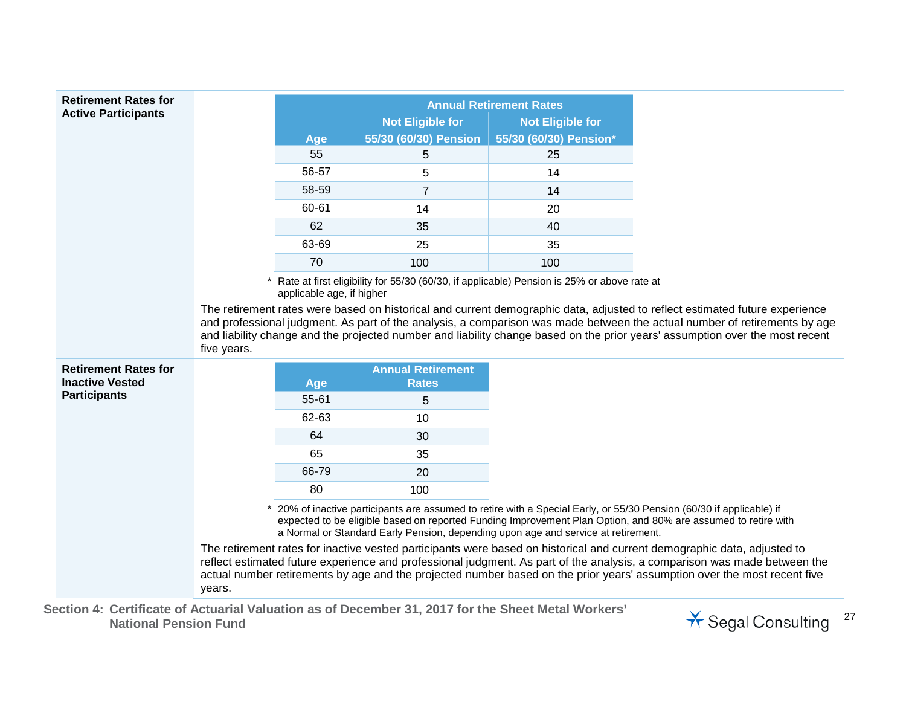| <b>Retirement Rates for</b>                                                  |             |                           |                                          | <b>Annual Retirement Rates</b>                                                             |                                                                                                                                                                                                                                                           |
|------------------------------------------------------------------------------|-------------|---------------------------|------------------------------------------|--------------------------------------------------------------------------------------------|-----------------------------------------------------------------------------------------------------------------------------------------------------------------------------------------------------------------------------------------------------------|
| <b>Active Participants</b>                                                   |             |                           | <b>Not Eligible for</b>                  | <b>Not Eligible for</b>                                                                    |                                                                                                                                                                                                                                                           |
|                                                                              |             | Age                       | 55/30 (60/30) Pension                    | 55/30 (60/30) Pension*                                                                     |                                                                                                                                                                                                                                                           |
|                                                                              |             | 55                        | 5                                        | 25                                                                                         |                                                                                                                                                                                                                                                           |
|                                                                              |             | 56-57                     | 5                                        | 14                                                                                         |                                                                                                                                                                                                                                                           |
|                                                                              |             | 58-59                     | $\overline{7}$                           | 14                                                                                         |                                                                                                                                                                                                                                                           |
|                                                                              |             | 60-61                     | 14                                       | 20                                                                                         |                                                                                                                                                                                                                                                           |
|                                                                              |             | 62                        | 35                                       | 40                                                                                         |                                                                                                                                                                                                                                                           |
|                                                                              |             | 63-69                     | 25                                       | 35                                                                                         |                                                                                                                                                                                                                                                           |
|                                                                              |             | 70                        | 100                                      | 100                                                                                        |                                                                                                                                                                                                                                                           |
|                                                                              |             | applicable age, if higher |                                          | Rate at first eligibility for 55/30 (60/30, if applicable) Pension is 25% or above rate at |                                                                                                                                                                                                                                                           |
|                                                                              |             |                           |                                          |                                                                                            |                                                                                                                                                                                                                                                           |
|                                                                              | five years. |                           |                                          |                                                                                            | and professional judgment. As part of the analysis, a comparison was made between the actual number of retirements by age<br>and liability change and the projected number and liability change based on the prior years' assumption over the most recent |
|                                                                              |             | Age                       | <b>Annual Retirement</b><br><b>Rates</b> |                                                                                            |                                                                                                                                                                                                                                                           |
|                                                                              |             | $55 - 61$                 | 5                                        |                                                                                            |                                                                                                                                                                                                                                                           |
|                                                                              |             | 62-63                     | 10                                       |                                                                                            |                                                                                                                                                                                                                                                           |
|                                                                              |             | 64                        | 30                                       |                                                                                            |                                                                                                                                                                                                                                                           |
|                                                                              |             | 65                        | 35                                       |                                                                                            |                                                                                                                                                                                                                                                           |
|                                                                              |             | 66-79                     | 20                                       |                                                                                            |                                                                                                                                                                                                                                                           |
| <b>Retirement Rates for</b><br><b>Inactive Vested</b><br><b>Participants</b> |             | 80                        | 100                                      |                                                                                            |                                                                                                                                                                                                                                                           |
|                                                                              |             |                           |                                          | a Normal or Standard Early Pension, depending upon age and service at retirement.          | 20% of inactive participants are assumed to retire with a Special Early, or 55/30 Pension (60/30 if applicable) if<br>expected to be eligible based on reported Funding Improvement Plan Option, and 80% are assumed to retire with                       |

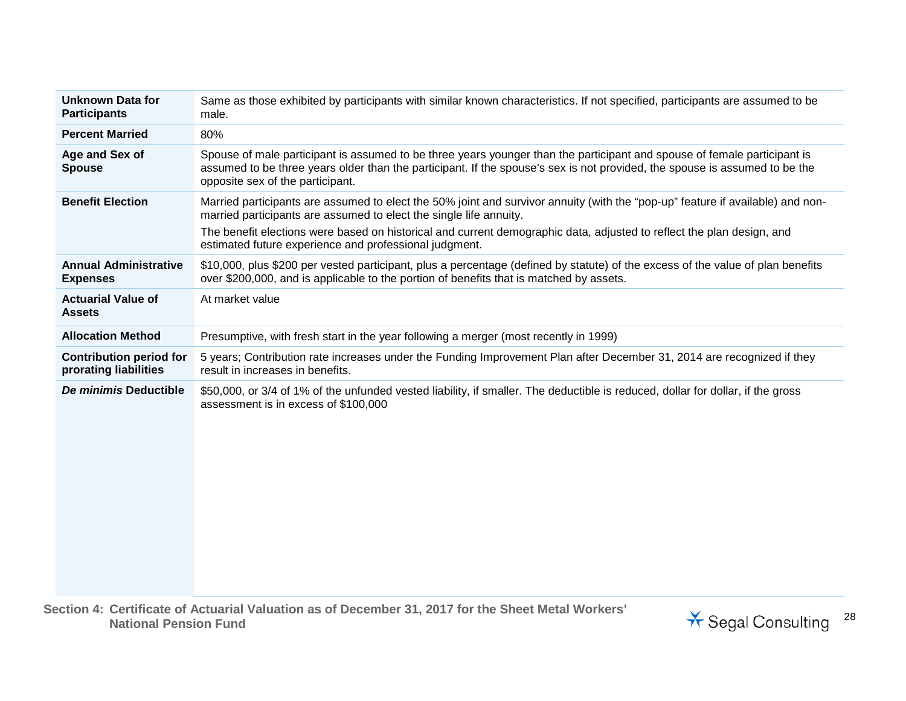| <b>Unknown Data for</b><br><b>Participants</b>          | Same as those exhibited by participants with similar known characteristics. If not specified, participants are assumed to be<br>male.                                                                                                                                                      |
|---------------------------------------------------------|--------------------------------------------------------------------------------------------------------------------------------------------------------------------------------------------------------------------------------------------------------------------------------------------|
| <b>Percent Married</b>                                  | 80%                                                                                                                                                                                                                                                                                        |
| Age and Sex of<br><b>Spouse</b>                         | Spouse of male participant is assumed to be three years younger than the participant and spouse of female participant is<br>assumed to be three years older than the participant. If the spouse's sex is not provided, the spouse is assumed to be the<br>opposite sex of the participant. |
| <b>Benefit Election</b>                                 | Married participants are assumed to elect the 50% joint and survivor annuity (with the "pop-up" feature if available) and non-<br>married participants are assumed to elect the single life annuity.                                                                                       |
|                                                         | The benefit elections were based on historical and current demographic data, adjusted to reflect the plan design, and<br>estimated future experience and professional judgment.                                                                                                            |
| <b>Annual Administrative</b><br><b>Expenses</b>         | \$10,000, plus \$200 per vested participant, plus a percentage (defined by statute) of the excess of the value of plan benefits<br>over \$200,000, and is applicable to the portion of benefits that is matched by assets.                                                                 |
| <b>Actuarial Value of</b><br><b>Assets</b>              | At market value                                                                                                                                                                                                                                                                            |
| <b>Allocation Method</b>                                | Presumptive, with fresh start in the year following a merger (most recently in 1999)                                                                                                                                                                                                       |
| <b>Contribution period for</b><br>prorating liabilities | 5 years; Contribution rate increases under the Funding Improvement Plan after December 31, 2014 are recognized if they<br>result in increases in benefits.                                                                                                                                 |
| De minimis Deductible                                   | \$50,000, or 3/4 of 1% of the unfunded vested liability, if smaller. The deductible is reduced, dollar for dollar, if the gross<br>assessment is in excess of \$100,000                                                                                                                    |
|                                                         | aation de Cartificato of Actuarial Valuetian as of December 24, 2017 fer the Cheat Metal Werkers'                                                                                                                                                                                          |

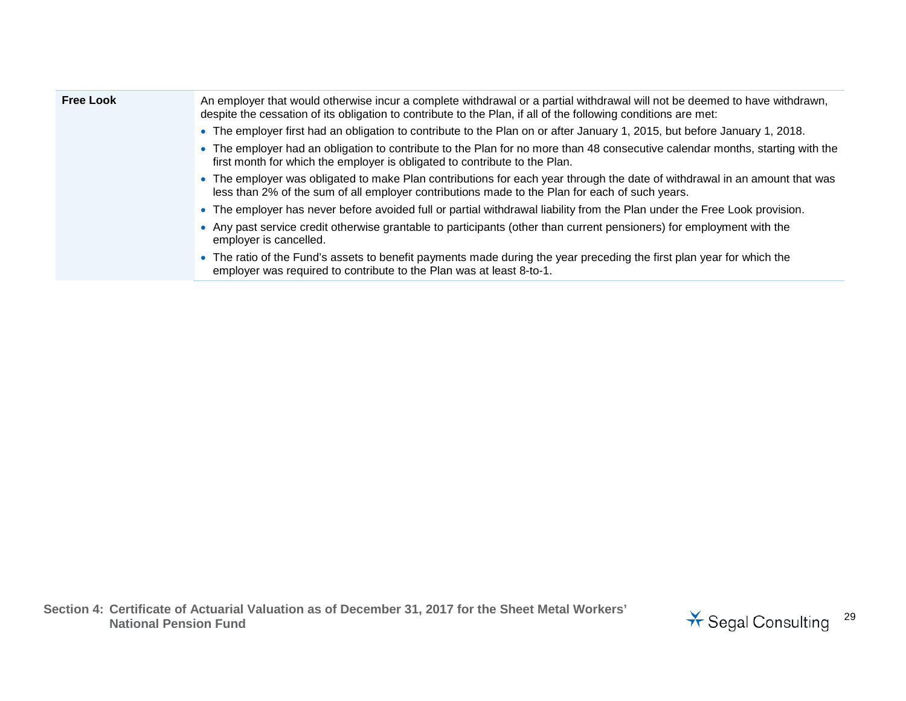| <b>Free Look</b> | An employer that would otherwise incur a complete withdrawal or a partial withdrawal will not be deemed to have withdrawn,<br>despite the cessation of its obligation to contribute to the Plan, if all of the following conditions are met: |
|------------------|----------------------------------------------------------------------------------------------------------------------------------------------------------------------------------------------------------------------------------------------|
|                  | • The employer first had an obligation to contribute to the Plan on or after January 1, 2015, but before January 1, 2018.                                                                                                                    |
|                  | • The employer had an obligation to contribute to the Plan for no more than 48 consecutive calendar months, starting with the<br>first month for which the employer is obligated to contribute to the Plan.                                  |
|                  | • The employer was obligated to make Plan contributions for each year through the date of withdrawal in an amount that was<br>less than 2% of the sum of all employer contributions made to the Plan for each of such years.                 |
|                  | • The employer has never before avoided full or partial withdrawal liability from the Plan under the Free Look provision.                                                                                                                    |
|                  | • Any past service credit otherwise grantable to participants (other than current pensioners) for employment with the<br>employer is cancelled.                                                                                              |
|                  | • The ratio of the Fund's assets to benefit payments made during the year preceding the first plan year for which the<br>employer was required to contribute to the Plan was at least 8-to-1.                                                |

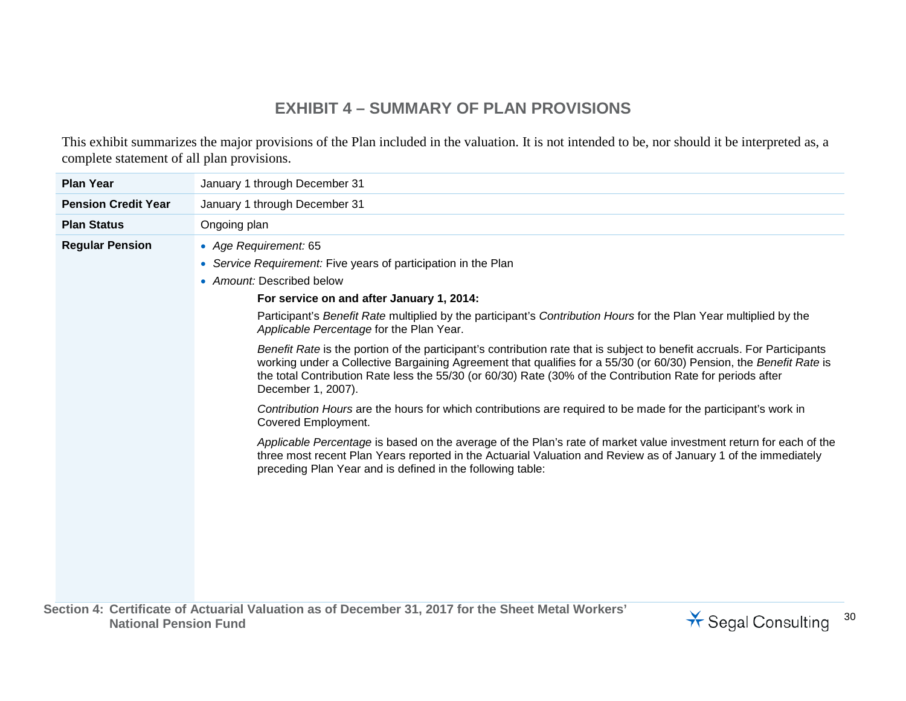## **EXHIBIT 4 – SUMMARY OF PLAN PROVISIONS**

This exhibit summarizes the major provisions of the Plan included in the valuation. It is not intended to be, nor should it be interpreted as, a complete statement of all plan provisions.

| <b>Plan Year</b>           | January 1 through December 31                                                                                                                                                                                                                                                                                                                                                      |
|----------------------------|------------------------------------------------------------------------------------------------------------------------------------------------------------------------------------------------------------------------------------------------------------------------------------------------------------------------------------------------------------------------------------|
| <b>Pension Credit Year</b> | January 1 through December 31                                                                                                                                                                                                                                                                                                                                                      |
| <b>Plan Status</b>         | Ongoing plan                                                                                                                                                                                                                                                                                                                                                                       |
| <b>Regular Pension</b>     | • Age Requirement: 65                                                                                                                                                                                                                                                                                                                                                              |
|                            | • Service Requirement: Five years of participation in the Plan                                                                                                                                                                                                                                                                                                                     |
|                            | • Amount: Described below                                                                                                                                                                                                                                                                                                                                                          |
|                            | For service on and after January 1, 2014:                                                                                                                                                                                                                                                                                                                                          |
|                            | Participant's Benefit Rate multiplied by the participant's Contribution Hours for the Plan Year multiplied by the<br>Applicable Percentage for the Plan Year.                                                                                                                                                                                                                      |
|                            | Benefit Rate is the portion of the participant's contribution rate that is subject to benefit accruals. For Participants<br>working under a Collective Bargaining Agreement that qualifies for a 55/30 (or 60/30) Pension, the Benefit Rate is<br>the total Contribution Rate less the 55/30 (or 60/30) Rate (30% of the Contribution Rate for periods after<br>December 1, 2007). |
|                            | Contribution Hours are the hours for which contributions are required to be made for the participant's work in<br>Covered Employment.                                                                                                                                                                                                                                              |
|                            | Applicable Percentage is based on the average of the Plan's rate of market value investment return for each of the<br>three most recent Plan Years reported in the Actuarial Valuation and Review as of January 1 of the immediately<br>preceding Plan Year and is defined in the following table:                                                                                 |
|                            |                                                                                                                                                                                                                                                                                                                                                                                    |
|                            |                                                                                                                                                                                                                                                                                                                                                                                    |
|                            |                                                                                                                                                                                                                                                                                                                                                                                    |
|                            |                                                                                                                                                                                                                                                                                                                                                                                    |
|                            |                                                                                                                                                                                                                                                                                                                                                                                    |
|                            |                                                                                                                                                                                                                                                                                                                                                                                    |

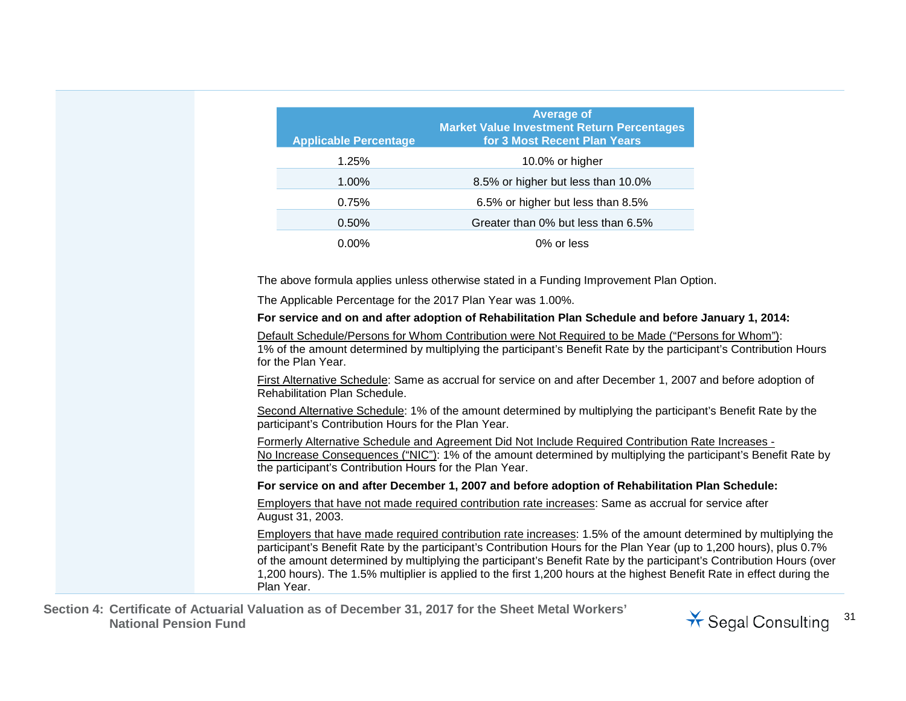| <b>Applicable Percentage</b>                                                                                        | <b>Average of</b><br><b>Market Value Investment Return Percentages</b><br>for 3 Most Recent Plan Years                                                                                                                 |  |
|---------------------------------------------------------------------------------------------------------------------|------------------------------------------------------------------------------------------------------------------------------------------------------------------------------------------------------------------------|--|
| 1.25%                                                                                                               | 10.0% or higher                                                                                                                                                                                                        |  |
| 1.00%                                                                                                               | 8.5% or higher but less than 10.0%                                                                                                                                                                                     |  |
| 0.75%                                                                                                               | 6.5% or higher but less than 8.5%                                                                                                                                                                                      |  |
| 0.50%                                                                                                               | Greater than 0% but less than 6.5%                                                                                                                                                                                     |  |
| 0.00%                                                                                                               | 0% or less                                                                                                                                                                                                             |  |
|                                                                                                                     | The above formula applies unless otherwise stated in a Funding Improvement Plan Option.                                                                                                                                |  |
| The Applicable Percentage for the 2017 Plan Year was 1.00%.                                                         |                                                                                                                                                                                                                        |  |
|                                                                                                                     | For service and on and after adoption of Rehabilitation Plan Schedule and before January 1, 2014:                                                                                                                      |  |
| for the Plan Year.                                                                                                  | Default Schedule/Persons for Whom Contribution were Not Required to be Made ("Persons for Whom"):<br>1% of the amount determined by multiplying the participant's Benefit Rate by the participant's Contribution Hours |  |
| <b>Rehabilitation Plan Schedule.</b>                                                                                | First Alternative Schedule: Same as accrual for service on and after December 1, 2007 and before adoption of                                                                                                           |  |
| participant's Contribution Hours for the Plan Year.                                                                 | Second Alternative Schedule: 1% of the amount determined by multiplying the participant's Benefit Rate by the                                                                                                          |  |
| the participant's Contribution Hours for the Plan Year.                                                             | Formerly Alternative Schedule and Agreement Did Not Include Required Contribution Rate Increases -<br>No Increase Consequences ("NIC"): 1% of the amount determined by multiplying the participant's Benefit Rate by   |  |
|                                                                                                                     | For service on and after December 1, 2007 and before adoption of Rehabilitation Plan Schedule:                                                                                                                         |  |
| August 31, 2003.                                                                                                    | Employers that have not made required contribution rate increases: Same as accrual for service after                                                                                                                   |  |
| participant's Benefit Rate by the participant's Contribution Hours for the Plan Year (up to 1,200 hours), plus 0.7% | Employers that have made required contribution rate increases: 1.5% of the amount determined by multiplying the                                                                                                        |  |

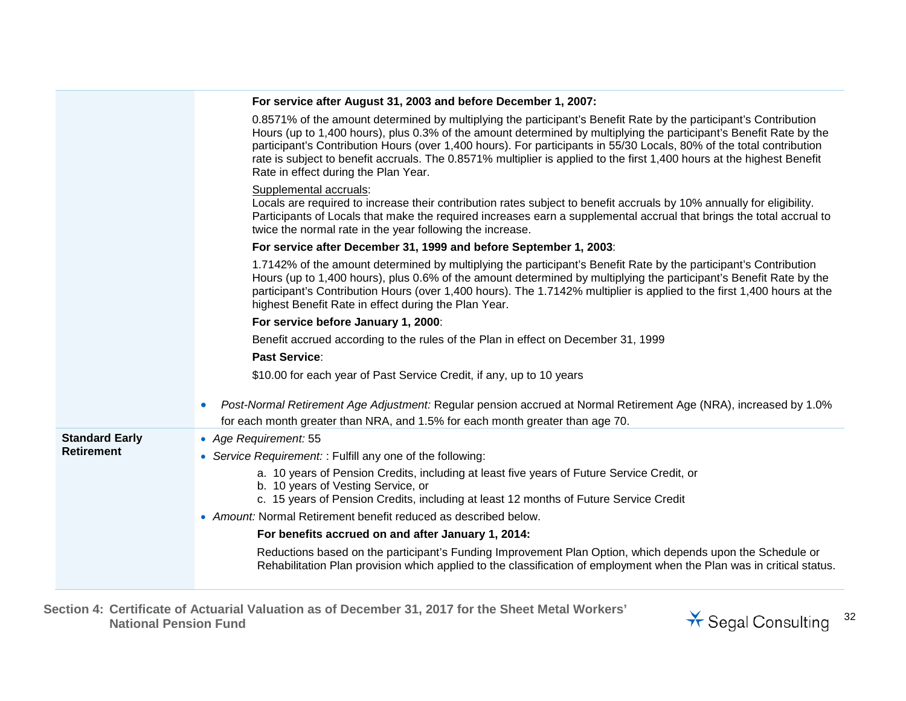|                       | For service after August 31, 2003 and before December 1, 2007:                                                                                                                                                                                                                                                                                                                                                                                                                                                                   |
|-----------------------|----------------------------------------------------------------------------------------------------------------------------------------------------------------------------------------------------------------------------------------------------------------------------------------------------------------------------------------------------------------------------------------------------------------------------------------------------------------------------------------------------------------------------------|
|                       | 0.8571% of the amount determined by multiplying the participant's Benefit Rate by the participant's Contribution<br>Hours (up to 1,400 hours), plus 0.3% of the amount determined by multiplying the participant's Benefit Rate by the<br>participant's Contribution Hours (over 1,400 hours). For participants in 55/30 Locals, 80% of the total contribution<br>rate is subject to benefit accruals. The 0.8571% multiplier is applied to the first 1,400 hours at the highest Benefit<br>Rate in effect during the Plan Year. |
|                       | Supplemental accruals:<br>Locals are required to increase their contribution rates subject to benefit accruals by 10% annually for eligibility.<br>Participants of Locals that make the required increases earn a supplemental accrual that brings the total accrual to<br>twice the normal rate in the year following the increase.                                                                                                                                                                                             |
|                       | For service after December 31, 1999 and before September 1, 2003:                                                                                                                                                                                                                                                                                                                                                                                                                                                                |
|                       | 1.7142% of the amount determined by multiplying the participant's Benefit Rate by the participant's Contribution<br>Hours (up to 1,400 hours), plus 0.6% of the amount determined by multiplying the participant's Benefit Rate by the<br>participant's Contribution Hours (over 1,400 hours). The 1.7142% multiplier is applied to the first 1,400 hours at the<br>highest Benefit Rate in effect during the Plan Year.                                                                                                         |
|                       | For service before January 1, 2000:                                                                                                                                                                                                                                                                                                                                                                                                                                                                                              |
|                       | Benefit accrued according to the rules of the Plan in effect on December 31, 1999                                                                                                                                                                                                                                                                                                                                                                                                                                                |
|                       | <b>Past Service:</b>                                                                                                                                                                                                                                                                                                                                                                                                                                                                                                             |
|                       | \$10.00 for each year of Past Service Credit, if any, up to 10 years                                                                                                                                                                                                                                                                                                                                                                                                                                                             |
|                       | Post-Normal Retirement Age Adjustment: Regular pension accrued at Normal Retirement Age (NRA), increased by 1.0%<br>$\bullet$<br>for each month greater than NRA, and 1.5% for each month greater than age 70.                                                                                                                                                                                                                                                                                                                   |
| <b>Standard Early</b> | • Age Requirement: 55                                                                                                                                                                                                                                                                                                                                                                                                                                                                                                            |
| <b>Retirement</b>     | • Service Requirement: : Fulfill any one of the following:                                                                                                                                                                                                                                                                                                                                                                                                                                                                       |
|                       | a. 10 years of Pension Credits, including at least five years of Future Service Credit, or<br>b. 10 years of Vesting Service, or<br>c. 15 years of Pension Credits, including at least 12 months of Future Service Credit                                                                                                                                                                                                                                                                                                        |
|                       | • Amount: Normal Retirement benefit reduced as described below.                                                                                                                                                                                                                                                                                                                                                                                                                                                                  |
|                       | For benefits accrued on and after January 1, 2014:                                                                                                                                                                                                                                                                                                                                                                                                                                                                               |
|                       | Reductions based on the participant's Funding Improvement Plan Option, which depends upon the Schedule or<br>Rehabilitation Plan provision which applied to the classification of employment when the Plan was in critical status.                                                                                                                                                                                                                                                                                               |
|                       |                                                                                                                                                                                                                                                                                                                                                                                                                                                                                                                                  |

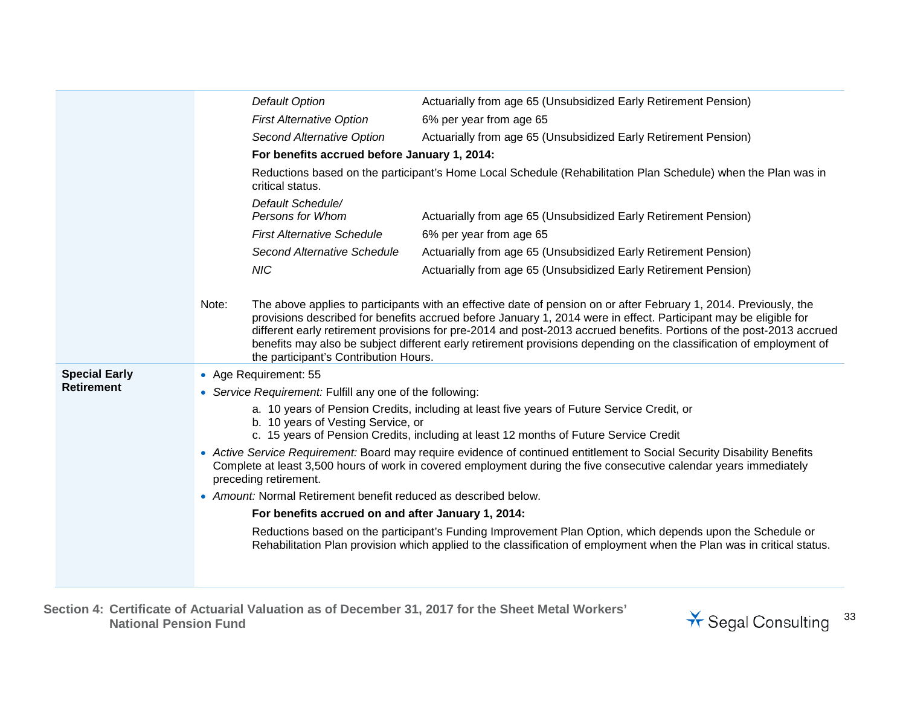|                      |       | <b>Default Option</b>                                           | Actuarially from age 65 (Unsubsidized Early Retirement Pension)                                                                                                                                                                                                                                                                                                                                                                                                                      |
|----------------------|-------|-----------------------------------------------------------------|--------------------------------------------------------------------------------------------------------------------------------------------------------------------------------------------------------------------------------------------------------------------------------------------------------------------------------------------------------------------------------------------------------------------------------------------------------------------------------------|
|                      |       | <b>First Alternative Option</b>                                 | 6% per year from age 65                                                                                                                                                                                                                                                                                                                                                                                                                                                              |
|                      |       | Second Alternative Option                                       | Actuarially from age 65 (Unsubsidized Early Retirement Pension)                                                                                                                                                                                                                                                                                                                                                                                                                      |
|                      |       | For benefits accrued before January 1, 2014:                    |                                                                                                                                                                                                                                                                                                                                                                                                                                                                                      |
|                      |       | critical status.                                                | Reductions based on the participant's Home Local Schedule (Rehabilitation Plan Schedule) when the Plan was in                                                                                                                                                                                                                                                                                                                                                                        |
|                      |       | Default Schedule/<br>Persons for Whom                           | Actuarially from age 65 (Unsubsidized Early Retirement Pension)                                                                                                                                                                                                                                                                                                                                                                                                                      |
|                      |       | <b>First Alternative Schedule</b>                               | 6% per year from age 65                                                                                                                                                                                                                                                                                                                                                                                                                                                              |
|                      |       | Second Alternative Schedule                                     | Actuarially from age 65 (Unsubsidized Early Retirement Pension)                                                                                                                                                                                                                                                                                                                                                                                                                      |
|                      |       | <b>NIC</b>                                                      | Actuarially from age 65 (Unsubsidized Early Retirement Pension)                                                                                                                                                                                                                                                                                                                                                                                                                      |
|                      |       |                                                                 |                                                                                                                                                                                                                                                                                                                                                                                                                                                                                      |
|                      | Note: | the participant's Contribution Hours.                           | The above applies to participants with an effective date of pension on or after February 1, 2014. Previously, the<br>provisions described for benefits accrued before January 1, 2014 were in effect. Participant may be eligible for<br>different early retirement provisions for pre-2014 and post-2013 accrued benefits. Portions of the post-2013 accrued<br>benefits may also be subject different early retirement provisions depending on the classification of employment of |
| <b>Special Early</b> |       | • Age Requirement: 55                                           |                                                                                                                                                                                                                                                                                                                                                                                                                                                                                      |
| <b>Retirement</b>    |       | • Service Requirement: Fulfill any one of the following:        |                                                                                                                                                                                                                                                                                                                                                                                                                                                                                      |
|                      |       |                                                                 | a. 10 years of Pension Credits, including at least five years of Future Service Credit, or                                                                                                                                                                                                                                                                                                                                                                                           |
|                      |       | b. 10 years of Vesting Service, or                              | c. 15 years of Pension Credits, including at least 12 months of Future Service Credit                                                                                                                                                                                                                                                                                                                                                                                                |
|                      |       | preceding retirement.                                           | • Active Service Requirement: Board may require evidence of continued entitlement to Social Security Disability Benefits<br>Complete at least 3,500 hours of work in covered employment during the five consecutive calendar years immediately                                                                                                                                                                                                                                       |
|                      |       | • Amount: Normal Retirement benefit reduced as described below. |                                                                                                                                                                                                                                                                                                                                                                                                                                                                                      |
|                      |       | For benefits accrued on and after January 1, 2014:              |                                                                                                                                                                                                                                                                                                                                                                                                                                                                                      |
|                      |       |                                                                 | Reductions based on the participant's Funding Improvement Plan Option, which depends upon the Schedule or<br>Rehabilitation Plan provision which applied to the classification of employment when the Plan was in critical status.                                                                                                                                                                                                                                                   |
|                      |       |                                                                 |                                                                                                                                                                                                                                                                                                                                                                                                                                                                                      |

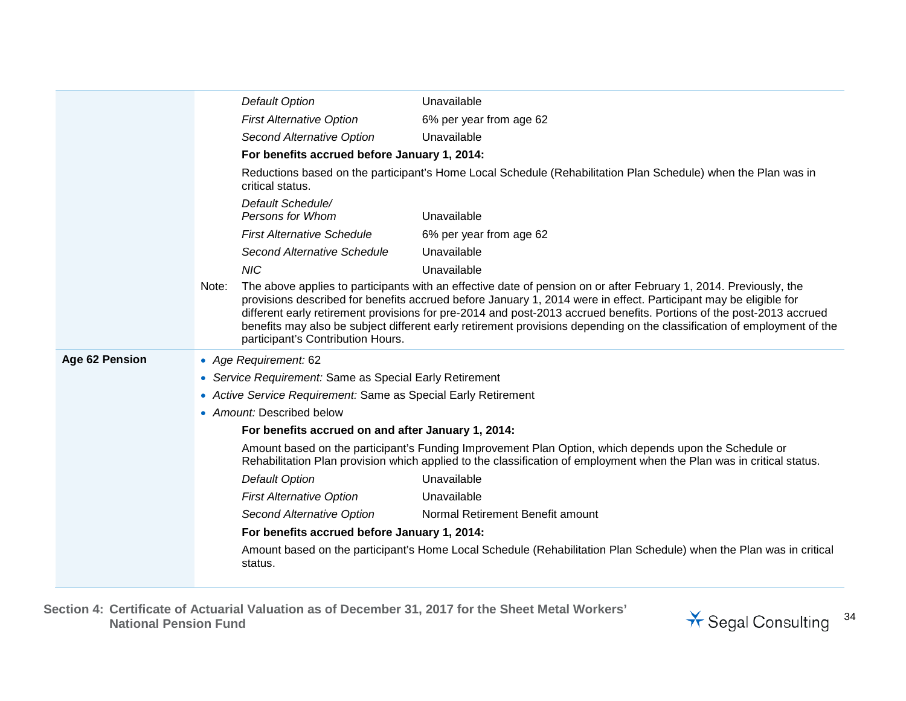|                |       | Default Option                                                 | Unavailable                                                                                                                                                                                                                                                                                                                                                                                                                                                                              |
|----------------|-------|----------------------------------------------------------------|------------------------------------------------------------------------------------------------------------------------------------------------------------------------------------------------------------------------------------------------------------------------------------------------------------------------------------------------------------------------------------------------------------------------------------------------------------------------------------------|
|                |       | <b>First Alternative Option</b>                                | 6% per year from age 62                                                                                                                                                                                                                                                                                                                                                                                                                                                                  |
|                |       | Second Alternative Option                                      | Unavailable                                                                                                                                                                                                                                                                                                                                                                                                                                                                              |
|                |       | For benefits accrued before January 1, 2014:                   |                                                                                                                                                                                                                                                                                                                                                                                                                                                                                          |
|                |       | critical status.                                               | Reductions based on the participant's Home Local Schedule (Rehabilitation Plan Schedule) when the Plan was in                                                                                                                                                                                                                                                                                                                                                                            |
|                |       | Default Schedule/<br>Persons for Whom                          | Unavailable                                                                                                                                                                                                                                                                                                                                                                                                                                                                              |
|                |       | <b>First Alternative Schedule</b>                              | 6% per year from age 62                                                                                                                                                                                                                                                                                                                                                                                                                                                                  |
|                |       | Second Alternative Schedule                                    | Unavailable                                                                                                                                                                                                                                                                                                                                                                                                                                                                              |
|                |       | <b>NIC</b>                                                     | Unavailable                                                                                                                                                                                                                                                                                                                                                                                                                                                                              |
|                | Note: | participant's Contribution Hours.                              | The above applies to participants with an effective date of pension on or after February 1, 2014. Previously, the<br>provisions described for benefits accrued before January 1, 2014 were in effect. Participant may be eligible for<br>different early retirement provisions for pre-2014 and post-2013 accrued benefits. Portions of the post-2013 accrued<br>benefits may also be subject different early retirement provisions depending on the classification of employment of the |
| Age 62 Pension |       | • Age Requirement: 62                                          |                                                                                                                                                                                                                                                                                                                                                                                                                                                                                          |
|                |       | • Service Requirement: Same as Special Early Retirement        |                                                                                                                                                                                                                                                                                                                                                                                                                                                                                          |
|                |       | • Active Service Requirement: Same as Special Early Retirement |                                                                                                                                                                                                                                                                                                                                                                                                                                                                                          |
|                |       | • Amount: Described below                                      |                                                                                                                                                                                                                                                                                                                                                                                                                                                                                          |
|                |       | For benefits accrued on and after January 1, 2014:             |                                                                                                                                                                                                                                                                                                                                                                                                                                                                                          |
|                |       |                                                                | Amount based on the participant's Funding Improvement Plan Option, which depends upon the Schedule or<br>Rehabilitation Plan provision which applied to the classification of employment when the Plan was in critical status.                                                                                                                                                                                                                                                           |
|                |       | <b>Default Option</b>                                          | Unavailable                                                                                                                                                                                                                                                                                                                                                                                                                                                                              |
|                |       | <b>First Alternative Option</b>                                | Unavailable                                                                                                                                                                                                                                                                                                                                                                                                                                                                              |
|                |       | Second Alternative Option                                      | Normal Retirement Benefit amount                                                                                                                                                                                                                                                                                                                                                                                                                                                         |
|                |       | For benefits accrued before January 1, 2014:                   |                                                                                                                                                                                                                                                                                                                                                                                                                                                                                          |
|                |       | status.                                                        | Amount based on the participant's Home Local Schedule (Rehabilitation Plan Schedule) when the Plan was in critical                                                                                                                                                                                                                                                                                                                                                                       |

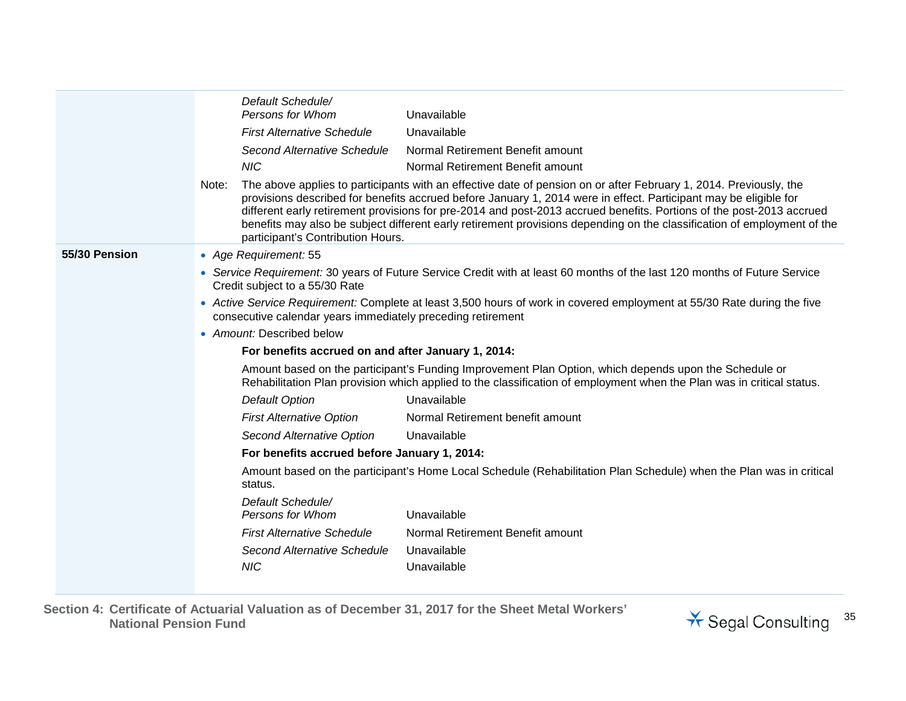|               | Default Schedule/<br>Persons for Whom<br>Unavailable                                                                                                                                                                                                                                                                                                                                                                                                                                                                                   |
|---------------|----------------------------------------------------------------------------------------------------------------------------------------------------------------------------------------------------------------------------------------------------------------------------------------------------------------------------------------------------------------------------------------------------------------------------------------------------------------------------------------------------------------------------------------|
|               | Unavailable<br><b>First Alternative Schedule</b>                                                                                                                                                                                                                                                                                                                                                                                                                                                                                       |
|               | Normal Retirement Benefit amount<br>Second Alternative Schedule                                                                                                                                                                                                                                                                                                                                                                                                                                                                        |
|               | <b>NIC</b><br>Normal Retirement Benefit amount                                                                                                                                                                                                                                                                                                                                                                                                                                                                                         |
|               | The above applies to participants with an effective date of pension on or after February 1, 2014. Previously, the<br>Note:<br>provisions described for benefits accrued before January 1, 2014 were in effect. Participant may be eligible for<br>different early retirement provisions for pre-2014 and post-2013 accrued benefits. Portions of the post-2013 accrued<br>benefits may also be subject different early retirement provisions depending on the classification of employment of the<br>participant's Contribution Hours. |
| 55/30 Pension | • Age Requirement: 55                                                                                                                                                                                                                                                                                                                                                                                                                                                                                                                  |
|               | • Service Requirement: 30 years of Future Service Credit with at least 60 months of the last 120 months of Future Service<br>Credit subject to a 55/30 Rate                                                                                                                                                                                                                                                                                                                                                                            |
|               | • Active Service Requirement: Complete at least 3,500 hours of work in covered employment at 55/30 Rate during the five<br>consecutive calendar years immediately preceding retirement                                                                                                                                                                                                                                                                                                                                                 |
|               | • Amount: Described below                                                                                                                                                                                                                                                                                                                                                                                                                                                                                                              |
|               | For benefits accrued on and after January 1, 2014:                                                                                                                                                                                                                                                                                                                                                                                                                                                                                     |
|               | Amount based on the participant's Funding Improvement Plan Option, which depends upon the Schedule or<br>Rehabilitation Plan provision which applied to the classification of employment when the Plan was in critical status.                                                                                                                                                                                                                                                                                                         |
|               | <b>Default Option</b><br>Unavailable                                                                                                                                                                                                                                                                                                                                                                                                                                                                                                   |
|               | <b>First Alternative Option</b><br>Normal Retirement benefit amount                                                                                                                                                                                                                                                                                                                                                                                                                                                                    |
|               | Second Alternative Option<br>Unavailable                                                                                                                                                                                                                                                                                                                                                                                                                                                                                               |
|               | For benefits accrued before January 1, 2014:                                                                                                                                                                                                                                                                                                                                                                                                                                                                                           |
|               | Amount based on the participant's Home Local Schedule (Rehabilitation Plan Schedule) when the Plan was in critical<br>status.                                                                                                                                                                                                                                                                                                                                                                                                          |
|               | Default Schedule/<br>Unavailable<br>Persons for Whom                                                                                                                                                                                                                                                                                                                                                                                                                                                                                   |
|               | Normal Retirement Benefit amount<br><b>First Alternative Schedule</b>                                                                                                                                                                                                                                                                                                                                                                                                                                                                  |
|               | Second Alternative Schedule<br>Unavailable                                                                                                                                                                                                                                                                                                                                                                                                                                                                                             |
|               | <b>NIC</b><br>Unavailable                                                                                                                                                                                                                                                                                                                                                                                                                                                                                                              |
|               |                                                                                                                                                                                                                                                                                                                                                                                                                                                                                                                                        |

**Section 4: Certificate of Actuarial Valuation as of December 31, 2017 for the Sheet Metal Workers' National Pension Fund** <sup>35</sup>

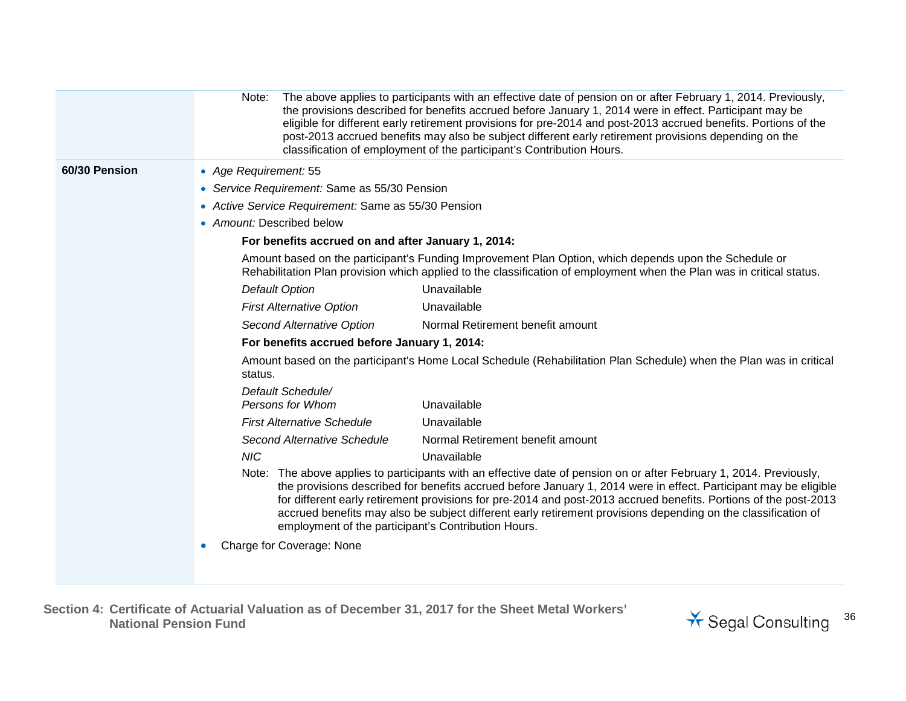|               | Note:                                               | The above applies to participants with an effective date of pension on or after February 1, 2014. Previously,<br>the provisions described for benefits accrued before January 1, 2014 were in effect. Participant may be<br>eligible for different early retirement provisions for pre-2014 and post-2013 accrued benefits. Portions of the<br>post-2013 accrued benefits may also be subject different early retirement provisions depending on the<br>classification of employment of the participant's Contribution Hours. |
|---------------|-----------------------------------------------------|-------------------------------------------------------------------------------------------------------------------------------------------------------------------------------------------------------------------------------------------------------------------------------------------------------------------------------------------------------------------------------------------------------------------------------------------------------------------------------------------------------------------------------|
| 60/30 Pension | • Age Requirement: 55                               |                                                                                                                                                                                                                                                                                                                                                                                                                                                                                                                               |
|               | • Service Requirement: Same as 55/30 Pension        |                                                                                                                                                                                                                                                                                                                                                                                                                                                                                                                               |
|               | • Active Service Requirement: Same as 55/30 Pension |                                                                                                                                                                                                                                                                                                                                                                                                                                                                                                                               |
|               | • Amount: Described below                           |                                                                                                                                                                                                                                                                                                                                                                                                                                                                                                                               |
|               | For benefits accrued on and after January 1, 2014:  |                                                                                                                                                                                                                                                                                                                                                                                                                                                                                                                               |
|               |                                                     | Amount based on the participant's Funding Improvement Plan Option, which depends upon the Schedule or<br>Rehabilitation Plan provision which applied to the classification of employment when the Plan was in critical status.                                                                                                                                                                                                                                                                                                |
|               | <b>Default Option</b>                               | Unavailable                                                                                                                                                                                                                                                                                                                                                                                                                                                                                                                   |
|               | <b>First Alternative Option</b>                     | Unavailable                                                                                                                                                                                                                                                                                                                                                                                                                                                                                                                   |
|               | Second Alternative Option                           | Normal Retirement benefit amount                                                                                                                                                                                                                                                                                                                                                                                                                                                                                              |
|               | For benefits accrued before January 1, 2014:        |                                                                                                                                                                                                                                                                                                                                                                                                                                                                                                                               |
|               | status.                                             | Amount based on the participant's Home Local Schedule (Rehabilitation Plan Schedule) when the Plan was in critical                                                                                                                                                                                                                                                                                                                                                                                                            |
|               | Default Schedule/                                   |                                                                                                                                                                                                                                                                                                                                                                                                                                                                                                                               |
|               | Persons for Whom                                    | Unavailable                                                                                                                                                                                                                                                                                                                                                                                                                                                                                                                   |
|               | <b>First Alternative Schedule</b>                   | Unavailable                                                                                                                                                                                                                                                                                                                                                                                                                                                                                                                   |
|               | Second Alternative Schedule                         | Normal Retirement benefit amount                                                                                                                                                                                                                                                                                                                                                                                                                                                                                              |
|               | <b>NIC</b>                                          | Unavailable                                                                                                                                                                                                                                                                                                                                                                                                                                                                                                                   |
|               | employment of the participant's Contribution Hours. | Note: The above applies to participants with an effective date of pension on or after February 1, 2014. Previously,<br>the provisions described for benefits accrued before January 1, 2014 were in effect. Participant may be eligible<br>for different early retirement provisions for pre-2014 and post-2013 accrued benefits. Portions of the post-2013<br>accrued benefits may also be subject different early retirement provisions depending on the classification of                                                  |
|               | Charge for Coverage: None                           |                                                                                                                                                                                                                                                                                                                                                                                                                                                                                                                               |

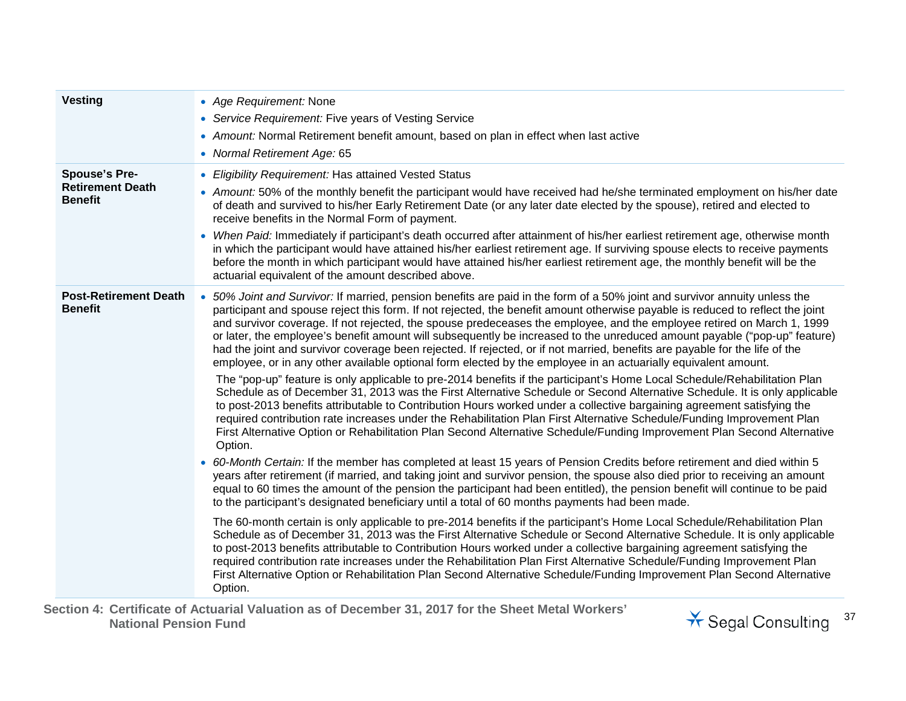| <b>Vesting</b>                                                    | • Age Requirement: None<br>• Service Requirement: Five years of Vesting Service<br>• Amount: Normal Retirement benefit amount, based on plan in effect when last active<br>• Normal Retirement Age: 65                                                                                                                                                                                                                                                                                                                                                                                                                                                                                                                                                                                                                                                                                                                                                                                                                                                                                                                                                                                                                                                                                                                                                                                                                                                                                                                                                                                                                                                                                                                                                                                                                                                                                                                                                                                                                                                                                                                                                                                                                                                                                                                                                                                                                                                                                                                                                                     |
|-------------------------------------------------------------------|----------------------------------------------------------------------------------------------------------------------------------------------------------------------------------------------------------------------------------------------------------------------------------------------------------------------------------------------------------------------------------------------------------------------------------------------------------------------------------------------------------------------------------------------------------------------------------------------------------------------------------------------------------------------------------------------------------------------------------------------------------------------------------------------------------------------------------------------------------------------------------------------------------------------------------------------------------------------------------------------------------------------------------------------------------------------------------------------------------------------------------------------------------------------------------------------------------------------------------------------------------------------------------------------------------------------------------------------------------------------------------------------------------------------------------------------------------------------------------------------------------------------------------------------------------------------------------------------------------------------------------------------------------------------------------------------------------------------------------------------------------------------------------------------------------------------------------------------------------------------------------------------------------------------------------------------------------------------------------------------------------------------------------------------------------------------------------------------------------------------------------------------------------------------------------------------------------------------------------------------------------------------------------------------------------------------------------------------------------------------------------------------------------------------------------------------------------------------------------------------------------------------------------------------------------------------------|
| <b>Spouse's Pre-</b><br><b>Retirement Death</b><br><b>Benefit</b> | • Eligibility Requirement: Has attained Vested Status<br>• Amount: 50% of the monthly benefit the participant would have received had he/she terminated employment on his/her date<br>of death and survived to his/her Early Retirement Date (or any later date elected by the spouse), retired and elected to<br>receive benefits in the Normal Form of payment.<br>• When Paid: Immediately if participant's death occurred after attainment of his/her earliest retirement age, otherwise month<br>in which the participant would have attained his/her earliest retirement age. If surviving spouse elects to receive payments<br>before the month in which participant would have attained his/her earliest retirement age, the monthly benefit will be the<br>actuarial equivalent of the amount described above.                                                                                                                                                                                                                                                                                                                                                                                                                                                                                                                                                                                                                                                                                                                                                                                                                                                                                                                                                                                                                                                                                                                                                                                                                                                                                                                                                                                                                                                                                                                                                                                                                                                                                                                                                    |
| <b>Post-Retirement Death</b><br><b>Benefit</b>                    | • 50% Joint and Survivor: If married, pension benefits are paid in the form of a 50% joint and survivor annuity unless the<br>participant and spouse reject this form. If not rejected, the benefit amount otherwise payable is reduced to reflect the joint<br>and survivor coverage. If not rejected, the spouse predeceases the employee, and the employee retired on March 1, 1999<br>or later, the employee's benefit amount will subsequently be increased to the unreduced amount payable ("pop-up" feature)<br>had the joint and survivor coverage been rejected. If rejected, or if not married, benefits are payable for the life of the<br>employee, or in any other available optional form elected by the employee in an actuarially equivalent amount.<br>The "pop-up" feature is only applicable to pre-2014 benefits if the participant's Home Local Schedule/Rehabilitation Plan<br>Schedule as of December 31, 2013 was the First Alternative Schedule or Second Alternative Schedule. It is only applicable<br>to post-2013 benefits attributable to Contribution Hours worked under a collective bargaining agreement satisfying the<br>required contribution rate increases under the Rehabilitation Plan First Alternative Schedule/Funding Improvement Plan<br>First Alternative Option or Rehabilitation Plan Second Alternative Schedule/Funding Improvement Plan Second Alternative<br>Option.<br>• 60-Month Certain: If the member has completed at least 15 years of Pension Credits before retirement and died within 5<br>years after retirement (if married, and taking joint and survivor pension, the spouse also died prior to receiving an amount<br>equal to 60 times the amount of the pension the participant had been entitled), the pension benefit will continue to be paid<br>to the participant's designated beneficiary until a total of 60 months payments had been made.<br>The 60-month certain is only applicable to pre-2014 benefits if the participant's Home Local Schedule/Rehabilitation Plan<br>Schedule as of December 31, 2013 was the First Alternative Schedule or Second Alternative Schedule. It is only applicable<br>to post-2013 benefits attributable to Contribution Hours worked under a collective bargaining agreement satisfying the<br>required contribution rate increases under the Rehabilitation Plan First Alternative Schedule/Funding Improvement Plan<br>First Alternative Option or Rehabilitation Plan Second Alternative Schedule/Funding Improvement Plan Second Alternative<br>Option. |

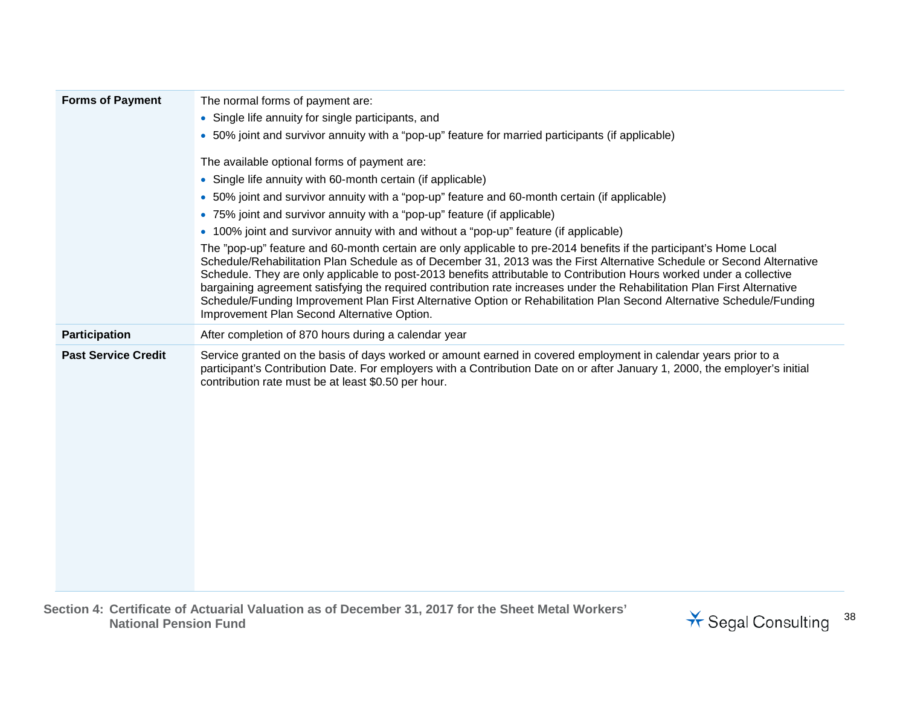| <b>Forms of Payment</b>    | The normal forms of payment are:                                                                                                                                                                                                                                                                                                                                                                                                                                                                                                                                                                                                                                          |
|----------------------------|---------------------------------------------------------------------------------------------------------------------------------------------------------------------------------------------------------------------------------------------------------------------------------------------------------------------------------------------------------------------------------------------------------------------------------------------------------------------------------------------------------------------------------------------------------------------------------------------------------------------------------------------------------------------------|
|                            | • Single life annuity for single participants, and                                                                                                                                                                                                                                                                                                                                                                                                                                                                                                                                                                                                                        |
|                            | • 50% joint and survivor annuity with a "pop-up" feature for married participants (if applicable)                                                                                                                                                                                                                                                                                                                                                                                                                                                                                                                                                                         |
|                            | The available optional forms of payment are:                                                                                                                                                                                                                                                                                                                                                                                                                                                                                                                                                                                                                              |
|                            | • Single life annuity with 60-month certain (if applicable)                                                                                                                                                                                                                                                                                                                                                                                                                                                                                                                                                                                                               |
|                            | • 50% joint and survivor annuity with a "pop-up" feature and 60-month certain (if applicable)                                                                                                                                                                                                                                                                                                                                                                                                                                                                                                                                                                             |
|                            | • 75% joint and survivor annuity with a "pop-up" feature (if applicable)                                                                                                                                                                                                                                                                                                                                                                                                                                                                                                                                                                                                  |
|                            | • 100% joint and survivor annuity with and without a "pop-up" feature (if applicable)                                                                                                                                                                                                                                                                                                                                                                                                                                                                                                                                                                                     |
|                            | The "pop-up" feature and 60-month certain are only applicable to pre-2014 benefits if the participant's Home Local<br>Schedule/Rehabilitation Plan Schedule as of December 31, 2013 was the First Alternative Schedule or Second Alternative<br>Schedule. They are only applicable to post-2013 benefits attributable to Contribution Hours worked under a collective<br>bargaining agreement satisfying the required contribution rate increases under the Rehabilitation Plan First Alternative<br>Schedule/Funding Improvement Plan First Alternative Option or Rehabilitation Plan Second Alternative Schedule/Funding<br>Improvement Plan Second Alternative Option. |
| Participation              | After completion of 870 hours during a calendar year                                                                                                                                                                                                                                                                                                                                                                                                                                                                                                                                                                                                                      |
| <b>Past Service Credit</b> | Service granted on the basis of days worked or amount earned in covered employment in calendar years prior to a<br>participant's Contribution Date. For employers with a Contribution Date on or after January 1, 2000, the employer's initial<br>contribution rate must be at least \$0.50 per hour.                                                                                                                                                                                                                                                                                                                                                                     |

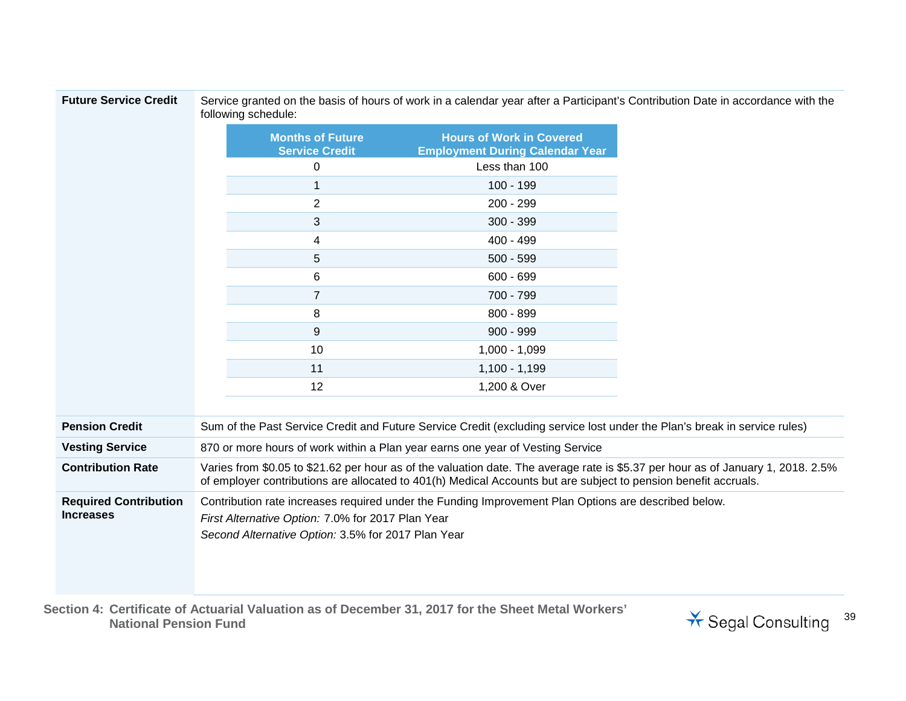Service granted on the basis of hours of work in a calendar year after a Participant's Contribution Date in accordance with the following schedule:

|                                                  |                                                                                                                                                                                                                                                     | <b>Months of Future</b><br><b>Service Credit</b> | <b>Hours of Work in Covered</b><br><b>Employment During Calendar Year</b>      |
|--------------------------------------------------|-----------------------------------------------------------------------------------------------------------------------------------------------------------------------------------------------------------------------------------------------------|--------------------------------------------------|--------------------------------------------------------------------------------|
|                                                  |                                                                                                                                                                                                                                                     | 0                                                | Less than 100                                                                  |
|                                                  |                                                                                                                                                                                                                                                     | 1                                                | $100 - 199$                                                                    |
|                                                  |                                                                                                                                                                                                                                                     | $\overline{2}$                                   | 200 - 299                                                                      |
|                                                  |                                                                                                                                                                                                                                                     | 3                                                | $300 - 399$                                                                    |
|                                                  |                                                                                                                                                                                                                                                     | 4                                                | 400 - 499                                                                      |
|                                                  |                                                                                                                                                                                                                                                     | 5                                                | $500 - 599$                                                                    |
|                                                  |                                                                                                                                                                                                                                                     | 6                                                | $600 - 699$                                                                    |
|                                                  |                                                                                                                                                                                                                                                     | $\overline{7}$                                   | 700 - 799                                                                      |
|                                                  |                                                                                                                                                                                                                                                     | 8                                                | 800 - 899                                                                      |
|                                                  |                                                                                                                                                                                                                                                     | 9                                                | $900 - 999$                                                                    |
|                                                  |                                                                                                                                                                                                                                                     | 10                                               | $1,000 - 1,099$                                                                |
|                                                  |                                                                                                                                                                                                                                                     | 11                                               | $1,100 - 1,199$                                                                |
|                                                  |                                                                                                                                                                                                                                                     | 12                                               | 1,200 & Over                                                                   |
|                                                  |                                                                                                                                                                                                                                                     |                                                  |                                                                                |
| <b>Pension Credit</b>                            | Sum of the Past Service Credit and Future Service Credit (excluding service lost under the Plan's break in service rules)                                                                                                                           |                                                  |                                                                                |
| <b>Vesting Service</b>                           |                                                                                                                                                                                                                                                     |                                                  | 870 or more hours of work within a Plan year earns one year of Vesting Service |
| <b>Contribution Rate</b>                         | Varies from \$0.05 to \$21.62 per hour as of the valuation date. The average rate is \$5.37 per hour as of January 1, 2018. 2.5%<br>of employer contributions are allocated to 401(h) Medical Accounts but are subject to pension benefit accruals. |                                                  |                                                                                |
| <b>Required Contribution</b><br><b>Increases</b> | Contribution rate increases required under the Funding Improvement Plan Options are described below.<br>First Alternative Option: 7.0% for 2017 Plan Year<br>Second Alternative Option: 3.5% for 2017 Plan Year                                     |                                                  |                                                                                |